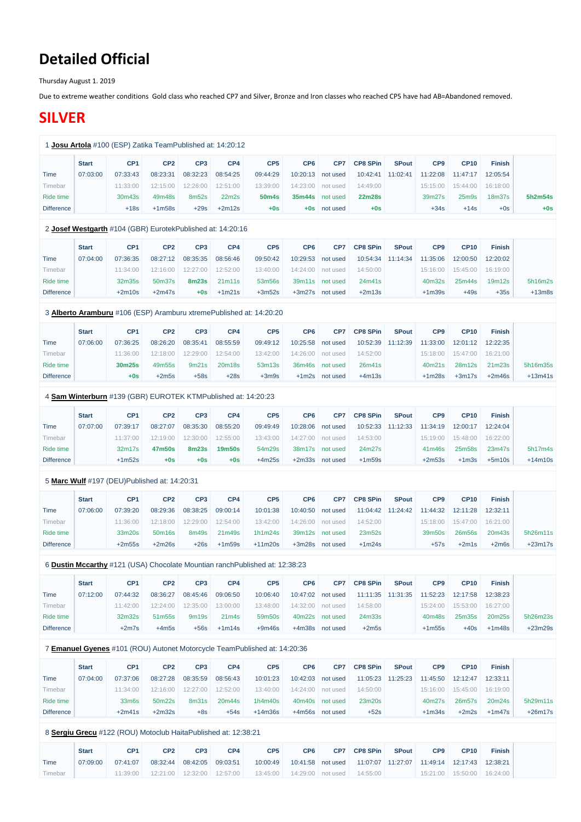# **Detailed Official**

Thursday August 1. 2019

Due to extreme weather conditions Gold class who reached CP7 and Silver, Bronze and Iron classes who reached CP5 have had AB=Abandoned removed.

# **SILVER**

|                   | <b>Start</b> | CP <sub>1</sub>                                               | CP <sub>2</sub> | CP <sub>3</sub> | CP4           | CP <sub>5</sub>                                                              | CP <sub>6</sub> | CP7               | <b>CP8 SPin</b> | <b>SPout</b> | CP <sub>9</sub> | <b>CP10</b>        | <b>Finish</b> |           |
|-------------------|--------------|---------------------------------------------------------------|-----------------|-----------------|---------------|------------------------------------------------------------------------------|-----------------|-------------------|-----------------|--------------|-----------------|--------------------|---------------|-----------|
| <b>Time</b>       | 07:03:00     | 07:33:43                                                      | 08:23:31        | 08:32:23        | 08:54:25      | 09:44:29                                                                     | 10:20:13        | not used          | 10:42:41        | 11:02:41     | 11:22:08        | 11:47:17           | 12:05:54      |           |
| Timebar           |              | 11:33:00                                                      | 12:15:00        | 12:26:00        | 12:51:00      | 13:39:00                                                                     | 14:23:00        | not used          | 14:49:00        |              | 15:15:00        | 15:44:00           | 16:18:00      |           |
| Ride time         |              | 30m43s                                                        | 49m48s          | 8m52s           | 22m2s         | 50 <sub>m</sub> 4s                                                           | 35m44s          | not used          | <b>22m28s</b>   |              | 39m27s          | 25 <sub>m</sub> 9s | 18m37s        | 5h2m54s   |
| <b>Difference</b> |              | $+18s$                                                        | $+1m58s$        | $+29s$          | $+2m12s$      | $+0s$                                                                        |                 | +0s not used      | $+0s$           |              | $+34s$          | $+14s$             | $+0s$         | $+0s$     |
|                   |              | 2 Josef Westgarth #104 (GBR) EurotekPublished at: 14:20:16    |                 |                 |               |                                                                              |                 |                   |                 |              |                 |                    |               |           |
|                   | <b>Start</b> | CP <sub>1</sub>                                               | CP <sub>2</sub> | CP <sub>3</sub> | CP4           | CP <sub>5</sub>                                                              | CP <sub>6</sub> | CP7               | <b>CP8 SPin</b> | <b>SPout</b> | CP <sub>9</sub> | <b>CP10</b>        | <b>Finish</b> |           |
| <b>Time</b>       | 07:04:00     | 07:36:35                                                      | 08:27:12        | 08:35:35        | 08:56:46      | 09:50:42                                                                     | 10:29:53        | not used          | 10:54:34        | 11:14:34     | 11:35:06        | 12:00:50           | 12:20:02      |           |
| Timebar           |              | 11:34:00                                                      | 12:16:00        | 12:27:00        | 12:52:00      | 13:40:00                                                                     | 14:24:00        | not used          | 14:50:00        |              | 15:16:00        | 15:45:00           | 16:19:00      |           |
| Ride time         |              | 32m35s                                                        | 50m37s          | <b>8m23s</b>    | 21m11s        | 53m56s                                                                       | 39m11s          | not used          | 24m41s          |              | 40m32s          | 25m44s             | 19m12s        | 5h16m2s   |
| <b>Difference</b> |              | $+2m10s$                                                      | $+2m47s$        | $+0s$           | $+1m21s$      | $+3m52s$                                                                     |                 | +3m27s not used   | $+2m13s$        |              | $+1m39s$        | $+49s$             | $+35s$        | $+13m8s$  |
|                   |              |                                                               |                 |                 |               | 3 Alberto Aramburu #106 (ESP) Aramburu xtremePublished at: 14:20:20          |                 |                   |                 |              |                 |                    |               |           |
|                   | <b>Start</b> | CP <sub>1</sub>                                               | CP <sub>2</sub> | CP <sub>3</sub> | CP4           | CP <sub>5</sub>                                                              | CP <sub>6</sub> | CP7               | <b>CP8 SPin</b> | <b>SPout</b> | CP <sub>9</sub> | <b>CP10</b>        | <b>Finish</b> |           |
| <b>Time</b>       | 07:06:00     | 07:36:25                                                      | 08:26:20        | 08:35:41        | 08:55:59      | 09:49:12                                                                     | 10:25:58        | not used          | 10:52:39        | 11:12:39     | 11:33:00        | 12:01:12           | 12:22:35      |           |
| Timebar           |              | 11:36:00                                                      | 12:18:00        | 12:29:00        | 12:54:00      | 13:42:00                                                                     | 14:26:00        | not used          | 14:52:00        |              | 15:18:00        | 15:47:00           | 16:21:00      |           |
| Ride time         |              | 30m25s                                                        | 49m55s          | 9m21s           | 20m18s        | 53m13s                                                                       | 36m46s          | not used          | 26m41s          |              | 40m21s          | 28m12s             | 21m23s        | 5h16m35s  |
| <b>Difference</b> |              | $+0s$                                                         | $+2m5s$         | $+58s$          | $+28s$        | $+3m9s$                                                                      |                 | +1m2s not used    | $+4m13s$        |              | $+1m28s$        | $+3m17s$           | $+2m46s$      | $+13m41s$ |
|                   |              | 4 Sam Winterburn #139 (GBR) EUROTEK KTMPublished at: 14:20:23 |                 |                 |               |                                                                              |                 |                   |                 |              |                 |                    |               |           |
|                   | <b>Start</b> | CP <sub>1</sub>                                               | CP <sub>2</sub> | CP <sub>3</sub> | CP4           | CP <sub>5</sub>                                                              | CP <sub>6</sub> | CP7               | <b>CP8 SPin</b> | <b>SPout</b> | CP <sub>9</sub> | <b>CP10</b>        | <b>Finish</b> |           |
| <b>Time</b>       | 07:07:00     | 07:39:17                                                      | 08:27:07        | 08:35:30        | 08:55:20      | 09:49:49                                                                     | 10:28:06        | not used          | 10:52:33        | 11:12:33     | 11:34:19        | 12:00:17           | 12:24:04      |           |
| Timebar           |              | 11:37:00                                                      | 12:19:00        | 12:30:00        | 12:55:00      | 13:43:00                                                                     | 14:27:00        | not used          | 14:53:00        |              | 15:19:00        | 15:48:00           | 16:22:00      |           |
| Ride time         |              | 32m17s                                                        | 47m50s          | <b>8m23s</b>    | <b>19m50s</b> | 54m29s                                                                       |                 | 38m17s not used   | 24m27s          |              | 41m46s          | 25m58s             | 23m47s        | 5h17m4s   |
| <b>Difference</b> |              | $+1m52s$                                                      | $+0s$           | $+0s$           | $+0s$         | $+4m25s$                                                                     |                 | +2m33s not used   | $+1m59s$        |              | $+2m53s$        | $+1m3s$            | $+5m10s$      | $+14m10s$ |
|                   |              | 5 Marc Wulf #197 (DEU)Published at: 14:20:31                  |                 |                 |               |                                                                              |                 |                   |                 |              |                 |                    |               |           |
|                   | <b>Start</b> | CP <sub>1</sub>                                               | CP <sub>2</sub> | CP <sub>3</sub> | CP4           | CP <sub>5</sub>                                                              | CP <sub>6</sub> | CP7               | <b>CP8 SPin</b> | <b>SPout</b> | CP <sub>9</sub> | <b>CP10</b>        | <b>Finish</b> |           |
| <b>Time</b>       | 07:06:00     | 07:39:20                                                      | 08:29:36        | 08:38:25        | 09:00:14      | 10:01:38                                                                     | 10:40:50        | not used          | 11:04:42        | 11:24:42     | 11:44:32        | 12:11:28           | 12:32:11      |           |
| Timebar           |              | 11:36:00                                                      | 12:18:00        | 12:29:00        | 12:54:00      | 13:42:00                                                                     | 14:26:00        | not used          | 14:52:00        |              | 15:18:00        | 15:47:00           | 16:21:00      |           |
| Ride time         |              | 33m20s                                                        | 50m16s          | 8m49s           | 21m49s        | 1h1m24s                                                                      | 39m12s          | not used          | 23m52s          |              | 39m50s          | 26m56s             | 20m43s        | 5h26m11s  |
| <b>Difference</b> |              | $+2m55s$                                                      | $+2m26s$        | $+26s$          | $+1m59s$      | $+11m20s$                                                                    |                 | +3m28s not used   | $+1m24s$        |              | $+57s$          | $+2m1s$            | $+2m6s$       | $+23m17s$ |
|                   |              |                                                               |                 |                 |               | 6 Dustin Mccarthy #121 (USA) Chocolate Mountian ranch Published at: 12:38:23 |                 |                   |                 |              |                 |                    |               |           |
|                   | <b>Start</b> | CP <sub>1</sub>                                               | CP <sub>2</sub> | CP <sub>3</sub> | CP4           | CP <sub>5</sub>                                                              | CP <sub>6</sub> | CP7               | <b>CP8 SPin</b> | <b>SPout</b> | CP <sub>9</sub> | <b>CP10</b>        | <b>Finish</b> |           |
| <b>Time</b>       | 07:12:00     | 07:44:32                                                      | 08:36:27        | 08:45:46        | 09:06:50      | 10:06:40                                                                     |                 | 10:47:02 not used | 11:11:35        | 11:31:35     | 11:52:23        | 12:17:58           | 12:38:23      |           |
| Timebar           |              | 11:42:00                                                      | 12:24:00        | 12:35:00        | 13:00:00      | 13:48:00                                                                     | 14:32:00        | not used          | 14:58:00        |              | 15:24:00        | 15:53:00           | 16:27:00      |           |

Ride time

32m32s

51m55s

9m19s

21m4s

59m50s

40m22s not used

24m33s

40m48s

25m35s

20m25s

5h26m23s

| <b>Difference</b> |              | $+2m7s$                                                        | $+4m5s$         | $+56s$            | $+1m14s$ | $+9m46s$                                                                  | $+4m38s$        | not used        | $+2m5s$         |              | $+1m55s$        | $+40s$      | $+1m48s$      | $+23m29s$ |
|-------------------|--------------|----------------------------------------------------------------|-----------------|-------------------|----------|---------------------------------------------------------------------------|-----------------|-----------------|-----------------|--------------|-----------------|-------------|---------------|-----------|
|                   |              |                                                                |                 |                   |          | 7 Emanuel Gyenes #101 (ROU) Autonet Motorcycle TeamPublished at: 14:20:36 |                 |                 |                 |              |                 |             |               |           |
|                   |              |                                                                |                 |                   |          |                                                                           |                 |                 |                 |              |                 |             |               |           |
|                   | <b>Start</b> | CP <sub>1</sub>                                                | CP <sub>2</sub> | CP <sub>3</sub>   | CP4      | CP <sub>5</sub>                                                           | CP <sub>6</sub> | CP <sub>7</sub> | <b>CP8 SPin</b> | <b>SPout</b> | CP <sub>9</sub> | <b>CP10</b> | <b>Finish</b> |           |
| Time              | 07:04:00     | 07:37:06                                                       | 08:27:28        | 08:35:59          | 08:56:43 | 10:01:23                                                                  | 10:42:03        | not used        | 11:05:23        | 11:25:23     | 11:45:50        | 12:12:47    | 12:33:11      |           |
| Timebar           |              | 11:34:00                                                       | 12:16:00        | 12:27:00          | 12:52:00 | 13:40:00                                                                  | 14:24:00        | not used        | 14:50:00        |              | 15:16:00        | 15:45:00    | 16:19:00      |           |
| Ride time         |              | 33 <sub>m</sub> 6s                                             | 50m22s          | 8 <sub>m31s</sub> | 20m44s   | 1h4m40s                                                                   | 40m40s          | not used        | 23m20s          |              | 40m27s          | 26m57s      | 20m24s        | 5h29m11s  |
| <b>Difference</b> |              | $+2m41s$                                                       | $+2m32s$        | $+8s$             | $+54s$   | $+14m36s$                                                                 |                 | +4m56s not used | $+52s$          |              | $+1m34s$        | $+2m2s$     | $+1m47s$      | $+26m17s$ |
|                   |              |                                                                |                 |                   |          |                                                                           |                 |                 |                 |              |                 |             |               |           |
|                   |              | 8 Sergiu Grecu #122 (ROU) Motoclub HaitaPublished at: 12:38:21 |                 |                   |          |                                                                           |                 |                 |                 |              |                 |             |               |           |
|                   | <b>Start</b> | CP <sub>1</sub>                                                | CP <sub>2</sub> | CP <sub>3</sub>   | CP4      | CP <sub>5</sub>                                                           | CP <sub>6</sub> | CP <sub>7</sub> | <b>CP8 SPin</b> | <b>SPout</b> | CP <sub>9</sub> | <b>CP10</b> | <b>Finish</b> |           |
| Time              | 07:09:00     | 07:41:07                                                       | 08:32:44        | 08:42:05          | 09:03:51 | 10:00:49                                                                  | 10:41:58        | not used        | 11:07:07        | 11:27:07     | 11:49:14        | 12:17:43    | 12:38:21      |           |
| Timebar           |              | 11:39:00                                                       | 12:21:00        | 12:32:00          | 12:57:00 | 13:45:00                                                                  | 14:29:00        | not used        | 14:55:00        |              | 15:21:00        | 15:50:00    | 16:24:00      |           |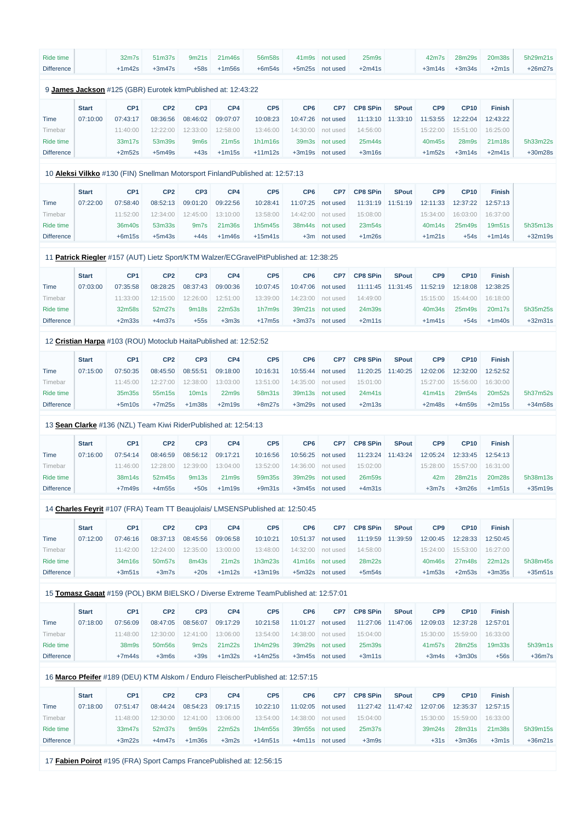| Ride time         |              | 32m7s                                                             | 51m37s          | 9m21s                          | 21m46s                         | 56m58s                                                                                 | 41 <sub>m</sub> 9 <sub>s</sub> | not used        | 25 <sub>m</sub> 9s |              | 42m7s           | 28m29s      | 20m38s        | 5h29m21s  |
|-------------------|--------------|-------------------------------------------------------------------|-----------------|--------------------------------|--------------------------------|----------------------------------------------------------------------------------------|--------------------------------|-----------------|--------------------|--------------|-----------------|-------------|---------------|-----------|
| <b>Difference</b> |              | $+1m42s$                                                          | $+3m47s$        | $+58s$                         | $+1m56s$                       | $+6m54s$                                                                               | $+5m25s$                       | not used        | $+2m41s$           |              | $+3m14s$        | $+3m34s$    | $+2m1s$       | $+26m27s$ |
|                   |              |                                                                   |                 |                                |                                |                                                                                        |                                |                 |                    |              |                 |             |               |           |
|                   |              | 9 James Jackson #125 (GBR) Eurotek ktmPublished at: 12:43:22      |                 |                                |                                |                                                                                        |                                |                 |                    |              |                 |             |               |           |
|                   | <b>Start</b> | CP <sub>1</sub>                                                   | CP <sub>2</sub> | CP <sub>3</sub>                | CP4                            | CP <sub>5</sub>                                                                        | CP <sub>6</sub>                | CP7             | <b>CP8 SPin</b>    | <b>SPout</b> | CP <sub>9</sub> | <b>CP10</b> | <b>Finish</b> |           |
| Time              | 07:10:00     | 07:43:17                                                          | 08:36:56        | 08:46:02                       | 09:07:07                       | 10:08:23                                                                               | 10:47:26                       | not used        | 11:13:10           | 11:33:10     | 11:53:55        | 12:22:04    | 12:43:22      |           |
| Timebar           |              | 11:40:00                                                          | 12:22:00        | 12:33:00                       | 12:58:00                       | 13:46:00                                                                               | 14:30:00                       | not used        | 14:56:00           |              | 15:22:00        | 15:51:00    | 16:25:00      |           |
| Ride time         |              | 33m17s                                                            | 53m39s          | 9m <sub>6s</sub>               | 21 <sub>m5s</sub>              | 1h1m16s                                                                                | 39m3s                          | not used        | 25m44s             |              | 40m45s          | 28m9s       | 21m18s        | 5h33m22s  |
| <b>Difference</b> |              | $+2m52s$                                                          | $+5m49s$        | $+43s$                         | $+1m15s$                       | $+11m12s$                                                                              | $+3m19s$                       | not used        | $+3m16s$           |              | $+1m52s$        | $+3m14s$    | $+2m41s$      | +30m28s   |
|                   |              |                                                                   |                 |                                |                                | 10 <b>Aleksi Vilkko</b> #130 (FIN) Snellman Motorsport FinlandPublished at: 12:57:13   |                                |                 |                    |              |                 |             |               |           |
|                   | <b>Start</b> | CP <sub>1</sub>                                                   | CP <sub>2</sub> | CP <sub>3</sub>                | CP4                            | CP <sub>5</sub>                                                                        | CP <sub>6</sub>                | CP7             | <b>CP8 SPin</b>    | <b>SPout</b> | CP <sub>9</sub> | <b>CP10</b> | <b>Finish</b> |           |
| Time              | 07:22:00     | 07:58:40                                                          | 08:52:13        | 09:01:20                       | 09:22:56                       | 10:28:41                                                                               | 11:07:25                       | not used        | 11:31:19           | 11:51:19     | 12:11:33        | 12:37:22    | 12:57:13      |           |
| Timebar           |              | 11:52:00                                                          | 12:34:00        | 12:45:00                       | 13:10:00                       | 13:58:00                                                                               | 14:42:00                       | not used        | 15:08:00           |              | 15:34:00        | 16:03:00    | 16:37:00      |           |
| Ride time         |              | 36m40s                                                            | 53m33s          | 9m7s                           | 21m36s                         | 1h5m45s                                                                                | 38m44s                         | not used        | 23m54s             |              | 40m14s          | 25m49s      | 19m51s        | 5h35m13s  |
|                   |              |                                                                   |                 | $+44s$                         |                                | $+15m41s$                                                                              |                                |                 |                    |              |                 |             |               |           |
| <b>Difference</b> |              | $+6m15s$                                                          | $+5m43s$        |                                | $+1m46s$                       |                                                                                        |                                | +3m not used    | $+1m26s$           |              | $+1m21s$        | $+54s$      | $+1m14s$      | $+32m19s$ |
|                   |              |                                                                   |                 |                                |                                | 11 Patrick Riegler #157 (AUT) Lietz Sport/KTM Walzer/ECGravelPitPublished at: 12:38:25 |                                |                 |                    |              |                 |             |               |           |
|                   | <b>Start</b> | CP <sub>1</sub>                                                   | CP <sub>2</sub> | CP <sub>3</sub>                | CP4                            | CP <sub>5</sub>                                                                        | CP <sub>6</sub>                | CP7             | <b>CP8 SPin</b>    | <b>SPout</b> | CP <sub>9</sub> | <b>CP10</b> | <b>Finish</b> |           |
| Time              | 07:03:00     | 07:35:58                                                          | 08:28:25        | 08:37:43                       | 09:00:36                       | 10:07:45                                                                               | 10:47:06                       | not used        | 11:11:45           | 11:31:45     | 11:52:19        | 12:18:08    | 12:38:25      |           |
| Timebar           |              | 11:33:00                                                          | 12:15:00        | 12:26:00                       | 12:51:00                       | 13:39:00                                                                               | 14:23:00                       | not used        | 14:49:00           |              | 15:15:00        | 15:44:00    | 16:18:00      |           |
| Ride time         |              | 32m58s                                                            | 52m27s          | 9m18s                          | 22m53s                         | 1h7m9s                                                                                 | 39m21s                         | not used        | 24m39s             |              | 40m34s          | 25m49s      | 20m17s        | 5h35m25s  |
| <b>Difference</b> |              | $+2m33s$                                                          | $+4m37s$        | $+55s$                         | $+3m3s$                        | $+17m5s$                                                                               | $+3m37s$                       | not used        | $+2m11s$           |              | $+1m41s$        | $+54s$      | $+1m40s$      | $+32m31s$ |
|                   |              |                                                                   |                 |                                |                                |                                                                                        |                                |                 |                    |              |                 |             |               |           |
|                   |              | 12 Cristian Harpa #103 (ROU) Motoclub HaitaPublished at: 12:52:52 |                 |                                |                                |                                                                                        |                                |                 |                    |              |                 |             |               |           |
|                   | <b>Start</b> | CP <sub>1</sub>                                                   | CP <sub>2</sub> | CP <sub>3</sub>                | CP4                            | CP <sub>5</sub>                                                                        | CP <sub>6</sub>                | CP7             | <b>CP8 SPin</b>    | <b>SPout</b> | CP <sub>9</sub> | <b>CP10</b> | <b>Finish</b> |           |
| <b>Time</b>       | 07:15:00     | 07:50:35                                                          | 08:45:50        | 08:55:51                       | 09:18:00                       | 10:16:31                                                                               | 10:55:44                       | not used        | 11:20:25           | 11:40:25     | 12:02:06        | 12:32:00    | 12:52:52      |           |
| Timebar           |              | 11:45:00                                                          | 12:27:00        | 12:38:00                       | 13:03:00                       | 13:51:00                                                                               | 14:35:00                       | not used        | 15:01:00           |              | 15:27:00        | 15:56:00    | 16:30:00      |           |
| Ride time         |              | 35m35s                                                            | 55m15s          | 10 <sub>m</sub> 1 <sub>s</sub> | 22 <sub>m</sub> 9 <sub>s</sub> | 58m31s                                                                                 | 39m13s                         | not used        | 24m41s             |              | 41m41s          | 29m54s      | 20m52s        | 5h37m52s  |
| <b>Difference</b> |              | $+5m10s$                                                          | $+7m25s$        | $+1m38s$                       | $+2m19s$                       | $+8m27s$                                                                               |                                | +3m29s not used | $+2m13s$           |              | $+2m48s$        | $+4m59s$    | $+2m15s$      | $+34m58s$ |
|                   |              | 13 Sean Clarke #136 (NZL) Team Kiwi RiderPublished at: 12:54:13   |                 |                                |                                |                                                                                        |                                |                 |                    |              |                 |             |               |           |
|                   | <b>Start</b> | CP <sub>1</sub>                                                   | CP <sub>2</sub> | CP <sub>3</sub>                | CP4                            | CP <sub>5</sub>                                                                        | CP <sub>6</sub>                | CP7             | <b>CP8 SPin</b>    | <b>SPout</b> | CP <sub>9</sub> | <b>CP10</b> | <b>Finish</b> |           |
| Time              | 07:16:00     | 07:54:14                                                          | 08:46:59        | 08:56:12                       | 09:17:21                       | 10:16:56                                                                               | 10:56:25                       | not used        | 11:23:24           | 11:43:24     | 12:05:24        | 12:33:45    | 12:54:13      |           |
|                   |              |                                                                   |                 |                                |                                |                                                                                        |                                |                 |                    |              |                 |             |               |           |
| Timebar           |              | 11:46:00                                                          | 12:28:00        | 12:39:00                       | 13:04:00                       | 13:52:00                                                                               | 14:36:00                       | not used        | 15:02:00           |              | 15:28:00        | 15:57:00    | 16:31:00      |           |
| Ride time         |              | 38m14s                                                            | 52m45s          | 9m13s                          | 21 <sub>m</sub> 9s             | 59m35s                                                                                 | 39m29s                         | not used        | 26m59s             |              | 42m             | 28m21s      | 20m28s        | 5h38m13s  |
| <b>Difference</b> |              | $+7m49s$                                                          | $+4m55s$        | $+50s$                         | $+1m19s$                       | $+9m31s$                                                                               |                                | +3m45s not used | $+4m31s$           |              | $+3m7s$         | $+3m26s$    | $+1m51s$      | $+35m19s$ |
|                   |              |                                                                   |                 |                                |                                | 14 Charles Feyrit #107 (FRA) Team TT Beaujolais/ LMSENSPublished at: 12:50:45          |                                |                 |                    |              |                 |             |               |           |
|                   | <b>Start</b> | CP <sub>1</sub>                                                   | CP <sub>2</sub> | CP <sub>3</sub>                | CP4                            | CP <sub>5</sub>                                                                        | CP <sub>6</sub>                | CP7             | <b>CP8 SPin</b>    | <b>SPout</b> | CP9             | <b>CP10</b> | <b>Finish</b> |           |
| Time              | 07:12:00     | 07:46:16                                                          | 08:37:13        | 08:45:56                       | 09:06:58                       | 10:10:21                                                                               | 10:51:37                       | not used        | 11:19:59           | 11:39:59     | 12:00:45        | 12:28:33    | 12:50:45      |           |
| Timebar           |              | 11:42:00                                                          | 12:24:00        | 12:35:00                       | 13:00:00                       | 13:48:00                                                                               | 14:32:00                       | not used        | 14:58:00           |              | 15:24:00        | 15:53:00    | 16:27:00      |           |
| Ride time         |              | 34m16s                                                            | 50m57s          | 8m43s                          | 21 <sub>m2s</sub>              | 1h3m23s                                                                                | 41m16s                         | not used        | 28m22s             |              | 40m46s          | 27m48s      | 22m12s        | 5h38m45s  |
| <b>Difference</b> |              | $+3m51s$                                                          | $+3m7s$         | $+20s$                         | $+1m12s$                       | $+13m19s$                                                                              |                                | +5m32s not used | $+5m54s$           |              | $+1m53s$        | $+2m53s$    | $+3m35s$      | $+35m51s$ |
|                   |              |                                                                   |                 |                                |                                |                                                                                        |                                |                 |                    |              |                 |             |               |           |

15 **[Tomasz Gagat](https://www.redbullromaniacs.com/for-competitors/profile/?e=rbr2019&b=159)** #159 (POL) BKM BIELSKO / Diverse Extreme TeamPublished at: 12:57:01

|                   | <b>Start</b> | CP <sub>1</sub> | CP <sub>2</sub>    | CP <sub>3</sub> | CP4      | CP <sub>5</sub> | CP <sub>6</sub> | CP <sub>7</sub>   | <b>CP8 SPin</b> | <b>SPout</b> | CP <sub>9</sub> | <b>CP10</b> | <b>Finish</b> |          |
|-------------------|--------------|-----------------|--------------------|-----------------|----------|-----------------|-----------------|-------------------|-----------------|--------------|-----------------|-------------|---------------|----------|
| Time              | 07:18:00     | 07:56:09        | 08:47:05           | 08:56:07        | 09:17:29 | 10:21:58        | 11:01:27        | not used          | 11:27:06        | 11:47:06     | 12:09:03        | 12:37:28    | 12:57:01      |          |
| Timebar           |              | 11:48:00        | 12:30:00           | 12:41:00        | 13:06:00 | 13:54:00        |                 | 14:38:00 not used | 15:04:00        |              | 15:30:00        | 15:59:00    | 16:33:00      |          |
| Ride time         |              | 38m9s           | 50 <sub>m56s</sub> | 9m2s            | 21m22s   | 1h4m29s         | 39m29s          | not used          | 25m39s          |              | 41m57s          | 28m25s      | 19m33s        | 5h39m1s  |
| <b>Difference</b> |              | $+7m44s$        | $+3m6s$            | $+39s$          | $+1m32s$ | $+14m25s$       | $+3m45s$        | not used          | $+3m11s$        |              | $+3m4s$         | $+3m30s$    | $+56s$        | $+36m7s$ |

# 16 **[Marco Pfeifer](https://www.redbullromaniacs.com/for-competitors/profile/?e=rbr2019&b=189)** #189 (DEU) KTM Alskom / Enduro FleischerPublished at: 12:57:15

|                   | <b>Start</b> | CP <sub>1</sub> | CP <sub>2</sub> | CP <sub>3</sub>   | CP4      | CP <sub>5</sub> | CP <sub>6</sub> | CP <sub>7</sub> | <b>CP8 SPin</b> | <b>SPout</b>      | CP <sub>9</sub> | <b>CP10</b> | <b>Finish</b> |           |
|-------------------|--------------|-----------------|-----------------|-------------------|----------|-----------------|-----------------|-----------------|-----------------|-------------------|-----------------|-------------|---------------|-----------|
| Time              | 07:18:00     | 07:51:47        | 08:44:24        | 08:54:23          | 09:17:15 | 10:22:10        | 11:02:05        | not used        |                 | 11:27:42 11:47:42 | 12:07:06        | 12:35:37    | 12:57:15      |           |
| Timebar           |              | 11:48:00        | 12:30:00        | 12:41:00          | 13:06:00 | 13:54:00        | 14:38:00        | not used        | 15:04:00        |                   | 15:30:00        | 15:59:00    | 16:33:00      |           |
| Ride time         |              | 33m47s          | 52m37s          | 9m <sub>59s</sub> | 22m52s   | 1h4m55s         | 39m55s          | not used        | 25m37s          |                   | 39m24s          | 28m31s      | 21m38s        | 5h39m15s  |
| <b>Difference</b> |              | $+3m22s$        | $+4m47s$        | $+1m36s$          | $+3m2s$  | $+14m51s$       | +4m11s          | not used        | $+3m9s$         |                   | $+31s$          | $+3m36s$    | $+3m1s$       | $+36m21s$ |

17 **[Fabien Poirot](https://www.redbullromaniacs.com/for-competitors/profile/?e=rbr2019&b=195)** #195 (FRA) Sport Camps FrancePublished at: 12:56:15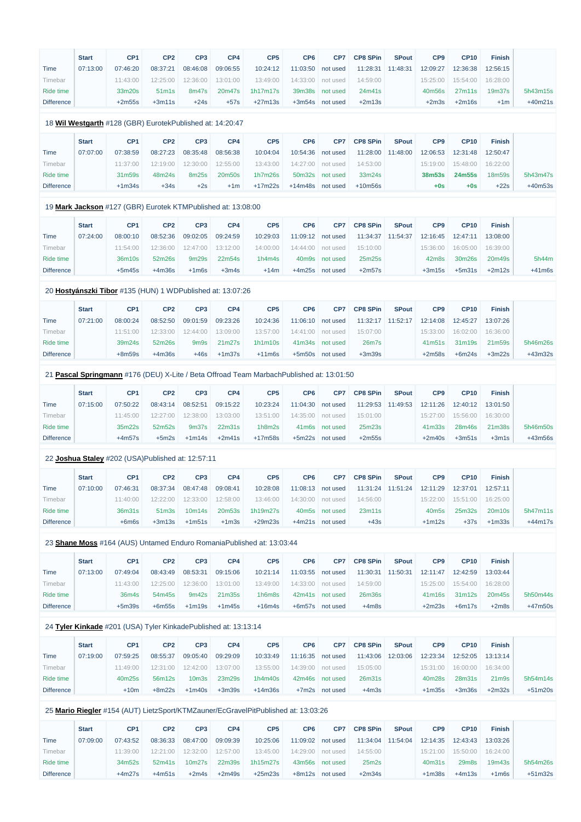|                   | <b>Start</b> | CP <sub>1</sub>                                              | CP <sub>2</sub>                | CP <sub>3</sub>               | CP4      | CP <sub>5</sub>                                                                          | CP <sub>6</sub>    | CP7             | <b>CP8 SPin</b> | <b>SPout</b> | CP <sub>9</sub>   | <b>CP10</b> | <b>Finish</b> |           |
|-------------------|--------------|--------------------------------------------------------------|--------------------------------|-------------------------------|----------|------------------------------------------------------------------------------------------|--------------------|-----------------|-----------------|--------------|-------------------|-------------|---------------|-----------|
| Time              | 07:13:00     | 07:46:20                                                     | 08:37:21                       | 08:46:08                      | 09:06:55 | 10:24:12                                                                                 | 11:03:50           | not used        | 11:28:31        | 11:48:31     | 12:09:27          | 12:36:38    | 12:56:15      |           |
| Timebar           |              | 11:43:00                                                     | 12:25:00                       | 12:36:00                      | 13:01:00 | 13:49:00                                                                                 | 14:33:00           | not used        | 14:59:00        |              | 15:25:00          | 15:54:00    | 16:28:00      |           |
| Ride time         |              | 33m20s                                                       | 51 <sub>m</sub> 1 <sub>s</sub> | 8m47s                         | 20m47s   | 1h17m17s                                                                                 | 39m38s             | not used        | 24m41s          |              | 40m56s            | 27m11s      | 19m37s        | 5h43m15s  |
| <b>Difference</b> |              | $+2m55s$                                                     | $+3m11s$                       | $+24s$                        | $+57s$   | $+27m13s$                                                                                |                    | +3m54s not used | $+2m13s$        |              | $+2m3s$           | $+2m16s$    | $+1m$         | $+40m21s$ |
|                   |              | 18 Wil Westgarth #128 (GBR) EurotekPublished at: 14:20:47    |                                |                               |          |                                                                                          |                    |                 |                 |              |                   |             |               |           |
|                   | <b>Start</b> | CP <sub>1</sub>                                              | CP <sub>2</sub>                | CP <sub>3</sub>               | CP4      | CP <sub>5</sub>                                                                          | CP <sub>6</sub>    | CP7             | <b>CP8 SPin</b> | <b>SPout</b> | CP <sub>9</sub>   | <b>CP10</b> | <b>Finish</b> |           |
| Time              | 07:07:00     | 07:38:59                                                     | 08:27:23                       | 08:35:48                      | 08:56:38 | 10:04:04                                                                                 | 10:54:36           | not used        | 11:28:00        | 11:48:00     | 12:06:53          | 12:31:48    | 12:50:47      |           |
| Timebar           |              | 11:37:00                                                     | 12:19:00                       | 12:30:00                      | 12:55:00 | 13:43:00                                                                                 | 14:27:00           | not used        | 14:53:00        |              | 15:19:00          | 15:48:00    | 16:22:00      |           |
| Ride time         |              | 31m59s                                                       | 48m24s                         | 8m25s                         | 20m50s   | 1h7m26s                                                                                  | 50m32s             | not used        | 33m24s          |              | <b>38m53s</b>     | 24m55s      | 18m59s        | 5h43m47s  |
| <b>Difference</b> |              | $+1m34s$                                                     | $+34s$                         | $+2s$                         | $+1m$    | $+17m22s$                                                                                | $+14m48s$          | not used        | $+10m56s$       |              | $+0s$             | $+0s$       | $+22s$        | $+40m53s$ |
|                   |              | 19 Mark Jackson #127 (GBR) Eurotek KTMPublished at: 13:08:00 |                                |                               |          |                                                                                          |                    |                 |                 |              |                   |             |               |           |
|                   | <b>Start</b> | CP <sub>1</sub>                                              | CP <sub>2</sub>                | CP <sub>3</sub>               | CP4      | CP <sub>5</sub>                                                                          | CP <sub>6</sub>    | CP7             | <b>CP8 SPin</b> | <b>SPout</b> | CP <sub>9</sub>   | <b>CP10</b> | <b>Finish</b> |           |
| Time              | 07:24:00     | 08:00:10                                                     | 08:52:36                       | 09:02:05                      | 09:24:59 | 10:29:03                                                                                 | 11:09:12           | not used        | 11:34:37        | 11:54:37     | 12:16:45          | 12:47:11    | 13:08:00      |           |
| Timebar           |              | 11:54:00                                                     | 12:36:00                       | 12:47:00                      | 13:12:00 | 14:00:00                                                                                 | 14:44:00           | not used        | 15:10:00        |              | 15:36:00          | 16:05:00    | 16:39:00      |           |
| Ride time         |              | 36m10s                                                       | 52m26s                         | 9m29s                         | 22m54s   | 1h4m4s                                                                                   | 40 <sub>m</sub> 9s | not used        | 25m25s          |              | 42m8s             | 30m26s      | 20m49s        | 5h44m     |
| <b>Difference</b> |              | $+5m45s$                                                     | $+4m36s$                       | $+1m6s$                       | $+3m4s$  | $+14m$                                                                                   |                    | +4m25s not used | $+2m57s$        |              | $+3m15s$          | $+5m31s$    | $+2m12s$      | $+41m6s$  |
|                   |              | 20 Hostyánszki Tibor #135 (HUN) 1 WDPublished at: 13:07:26   |                                |                               |          |                                                                                          |                    |                 |                 |              |                   |             |               |           |
|                   | <b>Start</b> | CP <sub>1</sub>                                              | CP <sub>2</sub>                | CP <sub>3</sub>               | CP4      | CP <sub>5</sub>                                                                          | CP <sub>6</sub>    | CP7             | <b>CP8 SPin</b> | <b>SPout</b> | CP <sub>9</sub>   | <b>CP10</b> | <b>Finish</b> |           |
| Time              | 07:21:00     | 08:00:24                                                     | 08:52:50                       | 09:01:59                      | 09:23:26 | 10:24:36                                                                                 | 11:06:10           | not used        | 11:32:17        | 11:52:17     | 12:14:08          | 12:45:27    | 13:07:26      |           |
| Timebar           |              | 11:51:00                                                     | 12:33:00                       | 12:44:00                      | 13:09:00 | 13:57:00                                                                                 | 14:41:00           | not used        | 15:07:00        |              | 15:33:00          | 16:02:00    | 16:36:00      |           |
| Ride time         |              | 39m24s                                                       | 52m26s                         | 9 <sub>m</sub> 9 <sub>s</sub> | 21m27s   | 1h1m10s                                                                                  | 41m34s             | not used        | 26m7s           |              | 41m51s            | 31m19s      | 21m59s        | 5h46m26s  |
| Difference        |              | $+8m59s$                                                     | $+4m36s$                       | $+46s$                        | $+1m37s$ | $+11m6s$                                                                                 |                    | +5m50s not used | $+3m39s$        |              | $+2m58s$          | $+6m24s$    | $+3m22s$      | +43m32s   |
|                   |              |                                                              |                                |                               |          | 21 Pascal Springmann #176 (DEU) X-Lite / Beta Offroad Team MarbachPublished at: 13:01:50 |                    |                 |                 |              |                   |             |               |           |
|                   | <b>Start</b> | CP <sub>1</sub>                                              | CP <sub>2</sub>                | CP <sub>3</sub>               | CP4      | CP <sub>5</sub>                                                                          | CP <sub>6</sub>    | CP7             | <b>CP8 SPin</b> | <b>SPout</b> | CP <sub>9</sub>   | <b>CP10</b> | <b>Finish</b> |           |
| Time              | 07:15:00     | 07:50:22                                                     | 08:43:14                       | 08:52:51                      | 09:15:22 | 10:23:24                                                                                 | 11:04:30           | not used        | 11:29:53        | 11:49:53     | 12:11:26          | 12:40:12    | 13:01:50      |           |
| Timebar           |              | 11:45:00                                                     | 12:27:00                       | 12:38:00                      | 13:03:00 | 13:51:00                                                                                 | 14:35:00           | not used        | 15:01:00        |              | 15:27:00          | 15:56:00    | 16:30:00      |           |
| Ride time         |              | 35m22s                                                       | 52m52s                         | 9m37s                         | 22m31s   | 1h8m2s                                                                                   |                    | 41m6s not used  | 25m23s          |              | 41m33s            | 28m46s      | 21m38s        | 5h46m50s  |
| <b>Difference</b> |              | $+4m57s$                                                     | $+5m2s$                        | $+1m14s$                      | $+2m41s$ | $+17m58s$                                                                                |                    | +5m22s not used | $+2m55s$        |              | $+2m40s$          | $+3m51s$    | $+3m1s$       | +43m56s   |
|                   |              | 22 Joshua Staley #202 (USA)Published at: 12:57:11            |                                |                               |          |                                                                                          |                    |                 |                 |              |                   |             |               |           |
|                   | <b>Start</b> | CP <sub>1</sub>                                              | CP <sub>2</sub>                | CP <sub>3</sub>               | CP4      | CP <sub>5</sub>                                                                          | CP <sub>6</sub>    | CP7             | <b>CP8 SPin</b> | <b>SPout</b> | CP <sub>9</sub>   | <b>CP10</b> | <b>Finish</b> |           |
| Time              | 07:10:00     | 07:46:31                                                     | 08:37:34                       | 08:47:48                      | 09:08:41 | 10:28:08                                                                                 | 11:08:13           | not used        | 11:31:24        | 11:51:24     | 12:11:29          | 12:37:01    | 12:57:11      |           |
| Timebar           |              | 11:40:00                                                     | 12:22:00                       | 12:33:00                      | 12:58:00 | 13:46:00                                                                                 | 14:30:00           | not used        | 14:56:00        |              | 15:22:00          | 15:51:00    | 16:25:00      |           |
| Ride time         |              | 36m31s                                                       | 51 <sub>m3s</sub>              | 10m14s                        | 20m53s   | 1h19m27s                                                                                 | 40m5s              | not used        | 23m11s          |              | 40m <sub>5s</sub> | 25m32s      | 20m10s        | 5h47m11s  |
| <b>Difference</b> |              | $+6m6s$                                                      | $+3m13s$                       | $+1m51s$                      | $+1m3s$  | $+29m23s$                                                                                |                    | +4m21s not used | $+43s$          |              | $+1m12s$          | $+37s$      | $+1m33s$      | $+44m17s$ |
|                   |              |                                                              |                                |                               |          | 23 Shane Moss #164 (AUS) Untamed Enduro Romania Published at: 13:03:44                   |                    |                 |                 |              |                   |             |               |           |
|                   | <b>Start</b> | CP <sub>1</sub>                                              | CP <sub>2</sub>                | CP <sub>3</sub>               | CP4      | CP <sub>5</sub>                                                                          | CP <sub>6</sub>    | CP7             | <b>CP8 SPin</b> | <b>SPout</b> | CP <sub>9</sub>   | <b>CP10</b> | <b>Finish</b> |           |

|                   | <b>Start</b> | CP <sub>1</sub> | CP2      | CP <sub>3</sub> | CP4      | CP <sub>5</sub> | CP <sub>6</sub> | CP <sub>7</sub> | <b>CP8 SPin</b> | <b>SPout</b> | CP9      | <b>CP10</b>                     | <b>Finish</b> |           |
|-------------------|--------------|-----------------|----------|-----------------|----------|-----------------|-----------------|-----------------|-----------------|--------------|----------|---------------------------------|---------------|-----------|
| Time              | 07:13:00     | 07:49:04        | 08:43:49 | 08:53:31        | 09:15:06 | 10:21:14        | 11:03:55        | not used        | 11:30:31        | 11:50:31     | 12:11:47 | 12:42:59                        | 13:03:44      |           |
| Fimebar           |              | 11:43:00        | 12:25:00 | 12:36:00        | 13:01:00 | 13:49:00        | 14:33:00        | not used        | 14:59:00        |              | 15:25:00 | 15:54:00                        | 16:28:00      |           |
| Ride time         |              | 36m4s           | 54m45s   | 9m42s           | 21m35s   | 1h6m8s          |                 | 42m41s not used | 26m36s          |              | 41m16s   | 31 <sub>m</sub> 12 <sub>s</sub> | 20m45s        | 5h50m44s  |
| <b>Difference</b> |              | $+5m39s$        | $+6m55s$ | $+1m19s$        | $+1m45s$ | $+16m4s$        |                 | +6m57s not used | $+4m8s$         |              | $+2m23s$ | $+6m17s$                        | $+2m8s$       | $+47m50s$ |

## 24 **[Tyler Kinkade](https://www.redbullromaniacs.com/for-competitors/profile/?e=rbr2019&b=201)** #201 (USA) Tyler KinkadePublished at: 13:13:14

|                   | <b>Start</b> | CP <sub>1</sub> | CP <sub>2</sub> | CP <sub>3</sub>   | CP4      | CP <sub>5</sub> | CP <sub>6</sub> | CP <sub>7</sub> | <b>CP8 SPin</b>    | <b>SPout</b> | CP <sub>9</sub> | <b>CP10</b> | <b>Finish</b>      |           |
|-------------------|--------------|-----------------|-----------------|-------------------|----------|-----------------|-----------------|-----------------|--------------------|--------------|-----------------|-------------|--------------------|-----------|
| Time              | 07:19:00     | 07:59:25        | 08:55:37        | 09:05:40          | 09:29:09 | 10:33:49        | 11:16:35        | not used        | 11:43:06           | 12:03:06     | 12:23:34        | 12:52:05    | 13:13:14           |           |
| <u>Fimebar</u>    |              | 11:49:00        | 12:31:00        | 12:42:00          | 13:07:00 | 13:55:00        | 14:39:00        | not used        | 15:05:00           |              | 15:31:00        | 16:00:00    | 16:34:00           |           |
| Ride time         |              | 40m25s          | 56m12s          | 10 <sub>m3s</sub> | 23m29s   | 1h4m40s         | 42m46s          | not used        | 26 <sub>m31s</sub> |              | 40m28s          | 28m31s      | 21 <sub>m</sub> 9s | 5h54m14s  |
| <b>Difference</b> |              | $+10m$          | $+8m22s$        | $+1m40s$          | $+3m39s$ | $+14m36s$       | $+7m2s$         | not used        | $+4m3s$            |              | $+1m35s$        | $+3m36s$    | $+2m32s$           | $+51m20s$ |

## 25 **[Mario Riegler](https://www.redbullromaniacs.com/for-competitors/profile/?e=rbr2019&b=154)** #154 (AUT) LietzSport/KTMZauner/EcGravelPitPublished at: 13:03:26

|                   | <b>Start</b> | CP <sub>1</sub> | CP <sub>2</sub> | CP <sub>3</sub>    | CP4      | CP <sub>5</sub> | CP6      | CP <sub>7</sub> | <b>CP8 SPin</b> | <b>SPout</b> | CP <sub>9</sub> | <b>CP10</b>        | <b>Finish</b>      |           |
|-------------------|--------------|-----------------|-----------------|--------------------|----------|-----------------|----------|-----------------|-----------------|--------------|-----------------|--------------------|--------------------|-----------|
| Time              | 07:09:00     | 07:43:52        | 08:36:33        | 08:47:00           | 09:09:39 | 10:25:06        | 11:09:02 | not used        | 11:34:04        | 11:54:04     | 12:14:35        | 12:43:43           | 13:03:26           |           |
| <b>fimebar</b>    |              | 11:39:00        | 12:21:00        | 12:32:00           | 12:57:00 | 13:45:00        | 14:29:00 | not used        | 14:55:00        |              | 15:21:00        | 15:50:00           | 16:24:00           |           |
| Ride time         |              | 34m52s          | 52m41s          | 10 <sub>m27s</sub> | 22m39s   | 1h15m27s        | 43m56s   | not used        | 25m2s           |              | 40m31s          | 29 <sub>m</sub> 8s | 19 <sub>m43s</sub> | 5h54m26s  |
| <b>Difference</b> |              | $+4m27s$        | $+4m51s$        | $+2m4s$            | $+2m49s$ | $+25m23s$       | $+8m12s$ | not used        | $+2m34s$        |              | $+1m38s$        | $+4m13s$           | $+1m6s$            | $+51m32s$ |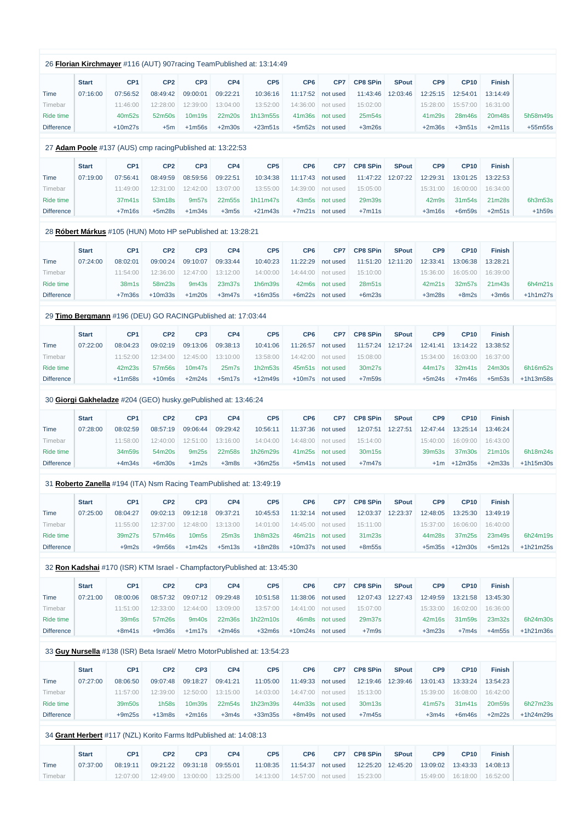|                                                                           |                             |                             |                             |                   | 26 Florian Kirchmayer #116 (AUT) 907 racing TeamPublished at: 13:14:49 |                             |                 |                             |                          |                             |                         |                           |             |
|---------------------------------------------------------------------------|-----------------------------|-----------------------------|-----------------------------|-------------------|------------------------------------------------------------------------|-----------------------------|-----------------|-----------------------------|--------------------------|-----------------------------|-------------------------|---------------------------|-------------|
| <b>Start</b><br>07:16:00<br><b>Time</b>                                   | CP <sub>1</sub><br>07:56:52 | CP <sub>2</sub><br>08:49:42 | CP <sub>3</sub><br>09:00:01 | CP4<br>09:22:21   | CP <sub>5</sub><br>10:36:16                                            | CP <sub>6</sub><br>11:17:52 | CP7<br>not used | <b>CP8 SPin</b><br>11:43:46 | <b>SPout</b><br>12:03:46 | CP <sub>9</sub><br>12:25:15 | <b>CP10</b><br>12:54:01 | <b>Finish</b><br>13:14:49 |             |
| Timebar                                                                   | 11:46:00                    | 12:28:00                    | 12:39:00                    | 13:04:00          | 13:52:00                                                               | 14:36:00                    | not used        | 15:02:00                    |                          | 15:28:00                    | 15:57:00                | 16:31:00                  |             |
| Ride time                                                                 | 40m52s                      | 52m50s                      | 10m19s                      | 22m20s            | 1h13m55s                                                               | 41m36s                      | not used        | 25m54s                      |                          | 41m29s                      | 28m46s                  | 20m48s                    | 5h58m49s    |
| <b>Difference</b>                                                         | $+10m27s$                   | $+5m$                       | $+1m56s$                    | $+2m30s$          | $+23m51s$                                                              | $+5m52s$                    | not used        | $+3m26s$                    |                          | $+2m36s$                    | $+3m51s$                | $+2m11s$                  | $+55m55s$   |
| 27 Adam Poole #137 (AUS) cmp racing Published at: 13:22:53                |                             |                             |                             |                   |                                                                        |                             |                 |                             |                          |                             |                         |                           |             |
| <b>Start</b>                                                              | CP <sub>1</sub>             | CP <sub>2</sub>             | CP <sub>3</sub>             | CP4               | CP <sub>5</sub>                                                        | CP <sub>6</sub>             | CP7             | <b>CP8 SPin</b>             | <b>SPout</b>             | CP <sub>9</sub>             | <b>CP10</b>             | <b>Finish</b>             |             |
| Time<br>07:19:00                                                          | 07:56:41                    | 08:49:59                    | 08:59:56                    | 09:22:51          | 10:34:38                                                               | 11:17:43                    | not used        | 11:47:22                    | 12:07:22                 | 12:29:31                    | 13:01:25                | 13:22:53                  |             |
| Timebar                                                                   | 11:49:00                    | 12:31:00                    | 12:42:00                    | 13:07:00          | 13:55:00                                                               | 14:39:00                    | not used        | 15:05:00                    |                          | 15:31:00                    | 16:00:00                | 16:34:00                  |             |
| Ride time                                                                 | 37m41s                      | 53m18s                      | 9m <sub>57s</sub>           | 22m55s            | 1h11m47s                                                               | 43m <sub>5s</sub>           | not used        | 29m39s                      |                          | 42m9s                       | 31m54s                  | 21m28s                    | 6h3m53s     |
| <b>Difference</b>                                                         | $+7m16s$                    | $+5m28s$                    | $+1m34s$                    | $+3m5s$           | $+21m43s$                                                              |                             | +7m21s not used | $+7m11s$                    |                          | $+3m16s$                    | $+6m59s$                | $+2m51s$                  | $+1h59s$    |
| 28 Róbert Márkus #105 (HUN) Moto HP sePublished at: 13:28:21              |                             |                             |                             |                   |                                                                        |                             |                 |                             |                          |                             |                         |                           |             |
| <b>Start</b>                                                              | CP <sub>1</sub>             | CP <sub>2</sub>             | CP <sub>3</sub>             | CP4               | CP <sub>5</sub>                                                        | CP <sub>6</sub>             | CP7             | <b>CP8 SPin</b>             | <b>SPout</b>             | CP9                         | <b>CP10</b>             | <b>Finish</b>             |             |
| <b>Time</b><br>07:24:00                                                   | 08:02:01                    | 09:00:24                    | 09:10:07                    | 09:33:44          | 10:40:23                                                               | 11:22:29                    | not used        | 11:51:20                    | 12:11:20                 | 12:33:41                    | 13:06:38                | 13:28:21                  |             |
| Timebar                                                                   | 11:54:00                    | 12:36:00                    | 12:47:00                    | 13:12:00          | 14:00:00                                                               | 14:44:00                    | not used        | 15:10:00                    |                          | 15:36:00                    | 16:05:00                | 16:39:00                  |             |
| <b>Ride time</b>                                                          | 38m1s                       | 58m23s                      | 9m43s                       | 23m37s            | 1h6m39s                                                                | 42m6s                       | not used        | 28m51s                      |                          | 42m21s                      | 32m57s                  | 21m43s                    | 6h4m21s     |
| <b>Difference</b>                                                         | $+7m36s$                    | $+10m33s$                   | $+1m20s$                    | $+3m47s$          | $+16m35s$                                                              | $+6m22s$                    | not used        | $+6m23s$                    |                          | $+3m28s$                    | $+8m2s$                 | $+3m6s$                   | $+1h1m27s$  |
| 29 Timo Bergmann #196 (DEU) GO RACINGPublished at: 17:03:44               |                             |                             |                             |                   |                                                                        |                             |                 |                             |                          |                             |                         |                           |             |
| <b>Start</b>                                                              | CP <sub>1</sub>             | CP <sub>2</sub>             | CP <sub>3</sub>             | CP4               | CP <sub>5</sub>                                                        | CP <sub>6</sub>             | CP7             | <b>CP8 SPin</b>             | <b>SPout</b>             | CP <sub>9</sub>             | <b>CP10</b>             | <b>Finish</b>             |             |
| 07:22:00<br><b>Time</b>                                                   | 08:04:23                    | 09:02:19                    | 09:13:06                    | 09:38:13          | 10:41:06                                                               | 11:26:57                    | not used        | 11:57:24                    | 12:17:24                 | 12:41:41                    | 13:14:22                | 13:38:52                  |             |
| Timebar                                                                   | 11:52:00                    | 12:34:00                    | 12:45:00                    | 13:10:00          | 13:58:00                                                               | 14:42:00                    | not used        | 15:08:00                    |                          | 15:34:00                    | 16:03:00                | 16:37:00                  |             |
| Ride time                                                                 | 42m23s                      | 57m56s                      | 10m47s                      | $25m$ 7s          | 1h2m53s                                                                |                             | 45m51s not used | 30m27s                      |                          | 44m17s                      | 32m41s                  | 24m30s                    | 6h16m52s    |
| <b>Difference</b>                                                         | $+11m58s$                   | $+10m6s$                    | $+2m24s$                    | $+5m17s$          | $+12m49s$                                                              |                             | +10m7s not used | $+7m59s$                    |                          | $+5m24s$                    | $+7m46s$                | $+5m53s$                  | +1h13m58s   |
| 30 Giorgi Gakheladze #204 (GEO) husky.gePublished at: 13:46:24            |                             |                             |                             |                   |                                                                        |                             |                 |                             |                          |                             |                         |                           |             |
| <b>Start</b>                                                              | CP <sub>1</sub>             | CP <sub>2</sub>             | CP <sub>3</sub>             | CP4               | CP <sub>5</sub>                                                        | CP <sub>6</sub>             | CP7             | <b>CP8 SPin</b>             | <b>SPout</b>             | CP <sub>9</sub>             | <b>CP10</b>             | <b>Finish</b>             |             |
| 07:28:00<br><b>Time</b>                                                   | 08:02:59                    | 08:57:19                    | 09:06:44                    | 09:29:42          | 10:56:11                                                               | 11:37:36                    | not used        | 12:07:51                    | 12:27:51                 | 12:47:44                    | 13:25:14                | 13:46:24                  |             |
| Timebar                                                                   | 11:58:00                    | 12:40:00                    | 12:51:00                    | 13:16:00          | 14:04:00                                                               | 14:48:00                    | not used        | 15:14:00                    |                          | 15:40:00                    | 16:09:00                | 16:43:00                  |             |
| Ride time                                                                 | 34m59s                      | 54m20s                      | 9m25s                       | 22m58s            | 1h26m29s                                                               | 41m25s                      | not used        | 30m15s                      |                          | 39m53s                      | 37m30s                  | 21m10s                    | 6h18m24s    |
| <b>Difference</b>                                                         | $+4m34s$                    | $+6m30s$                    | $+1m2s$                     | $+3m8s$           | $+36m25s$                                                              |                             | +5m41s not used | $+7m47s$                    |                          |                             | $+1m + 12m35s$          | $+2m33s$                  | $+1h15m30s$ |
| 31 Roberto Zanella #194 (ITA) Nsm Racing TeamPublished at: 13:49:19       |                             |                             |                             |                   |                                                                        |                             |                 |                             |                          |                             |                         |                           |             |
| <b>Start</b>                                                              | CP <sub>1</sub>             | CP <sub>2</sub>             | CP <sub>3</sub>             | CP4               | CP <sub>5</sub>                                                        | CP <sub>6</sub>             | CP7             | <b>CP8 SPin</b>             | <b>SPout</b>             | CP9                         | <b>CP10</b>             | <b>Finish</b>             |             |
| <b>Time</b><br>07:25:00                                                   | 08:04:27                    | 09:02:13                    | 09:12:18                    | 09:37:21          | 10:45:53                                                               | 11:32:14                    | not used        | 12:03:37                    | 12:23:37                 | 12:48:05                    | 13:25:30                | 13:49:19                  |             |
| Timebar                                                                   | 11:55:00                    | 12:37:00                    | 12:48:00                    | 13:13:00          | 14:01:00                                                               | 14:45:00                    | not used        | 15:11:00                    |                          | 15:37:00                    | 16:06:00                | 16:40:00                  |             |
| <b>Ride time</b>                                                          | 39m27s                      | 57m46s                      | 10 <sub>m5s</sub>           | 25 <sub>m3s</sub> | 1h8m32s                                                                | 46m21s                      | not used        | 31m23s                      |                          | 44m28s                      | 37m25s                  | 23m49s                    | 6h24m19s    |
| <b>Difference</b>                                                         | $+9m2s$                     | $+9m56s$                    | $+1m42s$                    | $+5m13s$          | $+18m28s$                                                              | +10m37s not used            |                 | $+8m55s$                    |                          |                             | $+5m35s +12m30s$        | $+5m12s$                  | $+1h21m25s$ |
| 32 Ron Kadshai #170 (ISR) KTM Israel - ChampfactoryPublished at: 13:45:30 |                             |                             |                             |                   |                                                                        |                             |                 |                             |                          |                             |                         |                           |             |
| <b>Start</b>                                                              | CP <sub>1</sub>             | CP <sub>2</sub>             | CP <sub>3</sub>             | CP4               | CP <sub>5</sub>                                                        | CP <sub>6</sub>             | CP7             | <b>CP8 SPin</b>             | <b>SPout</b>             | CP9                         | <b>CP10</b>             | <b>Finish</b>             |             |

Time Timebar

11:51:00 12:33:00 12:44:00 13:09:00

13:57:00 14:41:00 not used

| Ride time         | 39m6s    | 57m26s   |               | 9m40s 22m36s 1h22m10s |                         | 46m8s not used | 29m37s  |          |       | 42m16s 31m59s 23m32s | 6h24m30s             |
|-------------------|----------|----------|---------------|-----------------------|-------------------------|----------------|---------|----------|-------|----------------------|----------------------|
| <b>Difference</b> | $+8m41s$ | $+9m36s$ | +1m17s +2m46s |                       | +32m6s +10m24s not used |                | $+7m9s$ | $+3m23s$ | +7m4s |                      | $+4m55s$ $+1h21m36s$ |

15:07:00

15:33:00 16:02:00 16:36:00

07:21:00 08:00:06 08:57:32 09:07:12 09:29:48 10:51:58 11:38:06 not used 12:07:43 12:27:43 12:49:59 13:21:58 13:45:30

## 33 **[Guy Nursella](https://www.redbullromaniacs.com/for-competitors/profile/?e=rbr2019&b=138)** #138 (ISR) Beta Israel/ Metro MotorPublished at: 13:54:23

|                   | <b>Start</b> | CP <sub>1</sub> | CP <sub>2</sub> | CP <sub>3</sub> | CP4      | CP <sub>5</sub> | CP <sub>6</sub>    | CP7      | <b>CP8 SPin</b> | <b>SPout</b> | CP <sub>9</sub> | <b>CP10</b> | <b>Finish</b> |             |
|-------------------|--------------|-----------------|-----------------|-----------------|----------|-----------------|--------------------|----------|-----------------|--------------|-----------------|-------------|---------------|-------------|
| Time              | 07:27:00     | 08:06:50        | 09:07:48        | 09:18:27        | 09:41:21 | 11:05:00        | 11:49:33           | not used | 12:19:46        | 12:39:46     | 13:01:43        | 13:33:24    | 13:54:23      |             |
| Timebar           |              | 11:57:00        | 12:39:00        | 12:50:00        | 13:15:00 | 14:03:00        | 14:47:00           | not used | 15:13:00        |              | 15:39:00        | 16:08:00    | 16:42:00      |             |
| Ride time         |              | 39m50s          | 1h58s           | 10m39s          | 22m54s   | 1h23m39s        | 44 <sub>m33s</sub> | not used | 30m13s          |              | 41m57s          | 31m41s      | 20m59s        | 6h27m23s    |
| <b>Difference</b> |              | $+9m25s$        | $+13m8s$        | $+2m16s$        | $+3m4s$  | $+33m35s$       | +8m49s             | not used | $+7m45s$        |              | $+3m4s$         | $+6m46s$    | $+2m22s$      | $+1h24m29s$ |

## 34 **[Grant Herbert](https://www.redbullromaniacs.com/for-competitors/profile/?e=rbr2019&b=117)** #117 (NZL) Korito Farms ltdPublished at: 14:08:13

|         | <b>Start</b> | CP <sub>1</sub> | CP2                            | CP3                              | CP4 | CP <sub>5</sub> | CP <sub>6</sub>   | CP7 | <b>CP8 SPin</b> | <b>SPout</b> | CP <sub>9</sub>                        | <b>CP10</b> | Finish   |
|---------|--------------|-----------------|--------------------------------|----------------------------------|-----|-----------------|-------------------|-----|-----------------|--------------|----------------------------------------|-------------|----------|
| Time    | 07:37:00     | 08:19:11        |                                | $09:21:22$ $09:31:18$ $09:55:01$ |     | 11:08:35        | 11:54:37 not used |     |                 |              | 12:25:20  12:45:20  13:09:02  13:43:33 |             | 14:08:13 |
| Timebar |              | 12:07:00        | 12:49:00   13:00:00   13:25:00 |                                  |     |                 |                   |     | 15:23:00        |              | $15:49:00$ 16:18:00 16:52:00           |             |          |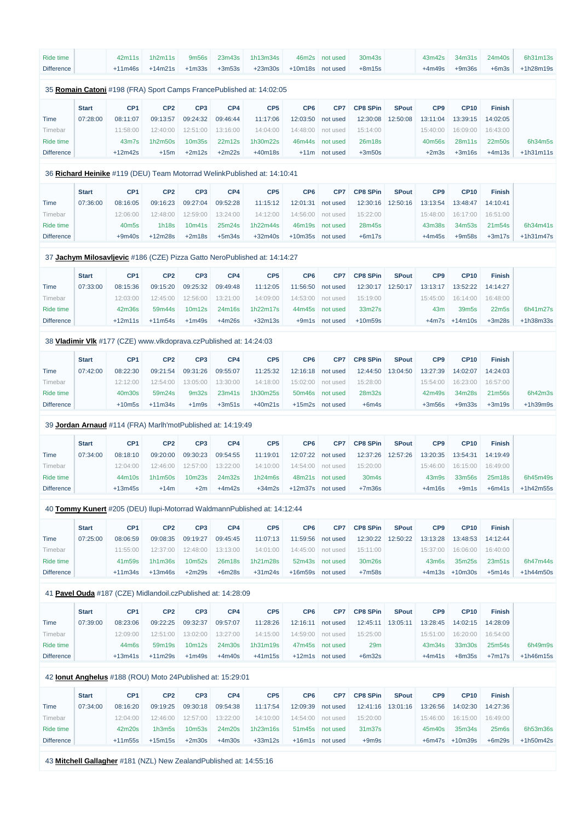| Ride time         |              | 42m11s          | 1h2m11s         | 9m56s           | 23m43s   | 1h13m34s                                                              | 46m2s           | not used        | 30m43s          |              | 43m42s          | 34m31s      | 24m40s        | 6h31m13s    |
|-------------------|--------------|-----------------|-----------------|-----------------|----------|-----------------------------------------------------------------------|-----------------|-----------------|-----------------|--------------|-----------------|-------------|---------------|-------------|
| <b>Difference</b> |              | $+11m46s$       | $+14m21s$       | $+1m33s$        | $+3m53s$ | $+23m30s$                                                             | $+10m18s$       | not used        | $+8m15s$        |              | $+4m49s$        | $+9m36s$    | $+6m3s$       | $+1h28m19s$ |
|                   |              |                 |                 |                 |          | 35 Romain Catoni #198 (FRA) Sport Camps France Published at: 14:02:05 |                 |                 |                 |              |                 |             |               |             |
|                   |              |                 |                 |                 |          |                                                                       |                 |                 |                 |              |                 |             |               |             |
|                   |              |                 |                 |                 |          |                                                                       |                 |                 |                 |              |                 |             |               |             |
|                   | <b>Start</b> | CP <sub>1</sub> | CP <sub>2</sub> | CP <sub>3</sub> | CP4      | CP <sub>5</sub>                                                       | CP <sub>6</sub> | CP <sub>7</sub> | <b>CP8 SPin</b> | <b>SPout</b> | CP <sub>9</sub> | <b>CP10</b> | <b>Finish</b> |             |
| Time              | 07:28:00     | 08:11:07        | 09:13:57        | 09:24:32        | 09:46:44 | 11:17:06                                                              | 12:03:50        | not used        | 12:30:08        | 12:50:08     | 13:11:04        | 13:39:15    | 14:02:05      |             |
| Timebar           |              | 11:58:00        | 12:40:00        | 12:51:00        | 13:16:00 | 14:04:00                                                              | 14:48:00        | not used        | 15:14:00        |              | 15:40:00        | 16:09:00    | 16:43:00      |             |
| Ride time         |              | $43m$ 7s        | 1h2m50s         | 10m35s          | 22m12s   | 1h30m22s                                                              | 46m44s          | not used        | 26m18s          |              | 40m56s          | 28m11s      | 22m50s        | 6h34m5s     |

## 36 **[Richard Heinike](https://www.redbullromaniacs.com/for-competitors/profile/?e=rbr2019&b=119)** #119 (DEU) Team Motorrad WelinkPublished at: 14:10:41

 $\sim$ 

|                       | <b>Start</b> | CP <sub>1</sub>   | CP <sub>2</sub> | CP <sub>3</sub> | CP4      | CP <sub>5</sub> | CP <sub>6</sub> | CP7      | <b>CP8 SPin</b> | <b>SPout</b> | CP <sub>9</sub> | <b>CP10</b> | <b>Finish</b>      |             |
|-----------------------|--------------|-------------------|-----------------|-----------------|----------|-----------------|-----------------|----------|-----------------|--------------|-----------------|-------------|--------------------|-------------|
| Time                  | 07:36:00     | 08:16:05          | 09:16:23        | 09:27:04        | 09:52:28 | 11:15:12        | 12:01:31        | not used | 12:30:16        | 12:50:16     | 13:13:54        | 13:48:47    | 14:10:41           |             |
| <i><b>Fimebar</b></i> |              | 12:06:00          | 12:48:00        | 12:59:00        | 13:24:00 | 14:12:00        | 14:56:00        | not used | 15:22:00        |              | 15:48:00        | 16:17:00    | 16:51:00           |             |
| Ride time             |              | 40m <sub>5s</sub> | 1h18s           | 10m41s          | 25m24s   | 1h22m44s        | 46m19s          | not used | 28m45s          |              | 43m38s          | 34m53s      | 21m <sub>54s</sub> | 6h34m41s    |
| <b>Difference</b>     |              | $+9m40s$          | $+12m28s$       | $+2m18s$        | $+5m34s$ | +32m40s         | $+10m35s$       | not used | $+6m17s$        |              | $+4m45s$        | $+9m58s$    | $+3m17s$           | $+1h31m47s$ |

# 37 **[Jachym Milosavljevic](https://www.redbullromaniacs.com/for-competitors/profile/?e=rbr2019&b=186)** #186 (CZE) Pizza Gatto NeroPublished at: 14:14:27

|                   | <b>Start</b> | CP <sub>1</sub> | CP <sub>2</sub> | CP <sub>3</sub> | CP4      | CP <sub>5</sub> | CP <sub>6</sub> | CP <sub>7</sub> | <b>CP8 SPin</b> | <b>SPout</b> | CP <sub>9</sub> | <b>CP10</b>       | <b>Finish</b> |           |
|-------------------|--------------|-----------------|-----------------|-----------------|----------|-----------------|-----------------|-----------------|-----------------|--------------|-----------------|-------------------|---------------|-----------|
| Time              | 07:33:00     | 08:15:36        | 09:15:20        | 09:25:32        | 09:49:48 | 11:12:05        | 11:56:50        | not used        | 12:30:17        | 12:50:17     | 13:13:17        | 13:52:22          | 14:14:27      |           |
| <u>Fimebar</u>    |              | 12:03:00        | 12:45:00        | 12:56:00        | 13:21:00 | 14:09:00        | 14:53:00        | not used        | 15:19:00        |              | 15:45:00        | 16:14:00          | 16:48:00      |           |
| Ride time         |              | 42m36s          | 59m44s          | 10m12s          | 24m16s   | 1h22m17s        | 44m45s          | not used        | 33m27s          |              | 43 <sub>m</sub> | 39m <sub>5s</sub> | 22m5s         | 6h41m27s  |
| <b>Difference</b> |              | $+12m11s$       | $+11m54s$       | $+1m49s$        | $+4m26s$ | $+32m13s$       | $+9m1s$         | not used        | $+10m59s$       |              |                 | $+4m7s$ $+14m10s$ | $+3m28s$      | +1h38m33s |

## 38 **[Vladimir Vlk](https://www.redbullromaniacs.com/for-competitors/profile/?e=rbr2019&b=177)** #177 (CZE) www.vlkdoprava.czPublished at: 14:24:03

|                   | <b>Start</b> | CP <sub>1</sub> | CP <sub>2</sub> | CP <sub>3</sub>   | CP4      | CP <sub>5</sub> | CP <sub>6</sub> | CP7               | <b>CP8 SPin</b>    | <b>SPout</b> | CP <sub>9</sub> | <b>CP10</b> | <b>Finish</b> |  |
|-------------------|--------------|-----------------|-----------------|-------------------|----------|-----------------|-----------------|-------------------|--------------------|--------------|-----------------|-------------|---------------|--|
| Time              | 07:42:00     | 08:22:30        | 09:21:54        | 09:31:26          | 09:55:07 | 11:25:32        |                 | 12:16:18 not used | 12:44:50  13:04:50 |              | 13:27:39        | 14:02:07    | 14:24:03      |  |
| Timebar           |              | 12:12:00        | 12:54:00        | 13:05:00          | 13:30:00 | 14:18:00        |                 | 15:02:00 not used | 15:28:00           |              | 15:54:00        | 16:23:00    | 16:57:00      |  |
| Ride time         |              | 40m30s          | 59m24s          | 9 <sub>m32s</sub> | 23m41s   | 1h30m25s        |                 | 50m46s not used   | 28m32s             |              | 42m49s          | 34m28s      | 21m56s        |  |
| <b>Difference</b> |              | $+10m5s$        | $+11m34s$       | $+1m9s$           | $+3m51s$ | $+40m21s$       | $+15m2s$        | not used          | $+6m4s$            |              | $+3m56s$        | $+9m33s$    | $+3m19s$      |  |

#### 39 **[Jordan Arnaud](https://www.redbullromaniacs.com/for-competitors/profile/?e=rbr2019&b=114)** #114 (FRA) Marlh'motPublished at: 14:19:49

|                       | <b>Start</b> | CP <sub>1</sub> | CP <sub>2</sub> | CP <sub>3</sub>    | CP4      | CP <sub>5</sub> | CP <sub>6</sub> | CP <sub>7</sub> | <b>CP8 SPin</b>    | <b>SPout</b> | CP <sub>9</sub>                | <b>CP10</b> | <b>Finish</b> |           |
|-----------------------|--------------|-----------------|-----------------|--------------------|----------|-----------------|-----------------|-----------------|--------------------|--------------|--------------------------------|-------------|---------------|-----------|
| Time                  | 07:34:00     | 08:18:10        | 09:20:00        | 09:30:23           | 09:54:55 | 11:19:01        | 12:07:22        | not used        | 12:37:26           | 12:57:26     | 13:20:35                       | 13:54:31    | 14:19:49      |           |
| <i><b>Fimebar</b></i> |              | 12:04:00        | 12:46:00        | 12:57:00           | 13:22:00 | 14:10:00        | 14:54:00        | not used        | 15:20:00           |              | 15:46:00                       | 16:15:00    | 16:49:00      |           |
| Ride time             |              | 44m10s          | 1h1m50s         | 10 <sub>m23s</sub> | 24m32s   | 1h24m6s         |                 | 48m21s not used | 30 <sub>m</sub> 4s |              | 43 <sub>m</sub> 9 <sub>s</sub> | 33m56s      | 25m18s        | 6h45m49s  |
| <b>Difference</b>     |              | $+13m45s$       | $+14m$          | $+2m$              | $+4m42s$ | $+34m2s$        | $+12m37s$       | not used        | $+7m36s$           |              | $+4m16s$                       | $+9m1s$     | $+6m41s$      | +1h42m55s |

## 40 **[Tommy Kunert](https://www.redbullromaniacs.com/for-competitors/profile/?e=rbr2019&b=205)** #205 (DEU) Ilupi-Motorrad WaldmannPublished at: 14:12:44

|                   | <b>Start</b> | CP <sub>1</sub> | CP <sub>2</sub> | CP <sub>3</sub>    | CP4      | CP <sub>5</sub> | CP <sub>6</sub>   | CP <sub>7</sub>   | <b>CP8 SPin</b> | <b>SPout</b>      | CP <sub>9</sub>    | <b>CP10</b>        | <b>Finish</b>     |           |
|-------------------|--------------|-----------------|-----------------|--------------------|----------|-----------------|-------------------|-------------------|-----------------|-------------------|--------------------|--------------------|-------------------|-----------|
| Time              | 07:25:00     | 08:06:59        | 09:08:35        | 09:19:27           | 09:45:45 | 11:07:13        | 11:59:56 not used |                   |                 | 12:30:22 12:50:22 | 13:13:28           | 13:48:53           | 14:12:44          |           |
| Timebar           |              | 11:55:00        | 12:37:00        | 12:48:00           | 13:13:00 | 14:01:00        |                   | 14:45:00 not used | 15:11:00        |                   | 15:37:00           |                    | 16:06:00 16:40:00 |           |
| Ride time         |              | 41m59s          | 1h1m36s         | 10 <sub>m52s</sub> | 26m18s   | 1h21m28s        |                   | 52m43s not used   | 30m26s          |                   | 43 <sub>m</sub> 6s | 35m25s             | 23m51s            | 6h47m44s  |
| <b>Difference</b> |              | $+11m34s$       | $+13m46s$       | $+2m29s$           | $+6m28s$ | $+31m24s$       | +16m59s not used  |                   | $+7m58s$        |                   |                    | $+4m13s$ $+10m30s$ | $+5m14s$          | +1h44m50s |

## 41 **[Pavel Ouda](https://www.redbullromaniacs.com/for-competitors/profile/?e=rbr2019&b=187)** #187 (CZE) Midlandoil.czPublished at: 14:28:09

|                   | <b>Start</b> | CP <sub>1</sub> | CP <sub>2</sub> | CP <sub>3</sub> | CP4      | CP <sub>5</sub> | CP <sub>6</sub> | CP7      | <b>CP8 SPin</b> | <b>SPout</b> | CP <sub>9</sub> | <b>CP10</b> | <b>Finish</b> |             |
|-------------------|--------------|-----------------|-----------------|-----------------|----------|-----------------|-----------------|----------|-----------------|--------------|-----------------|-------------|---------------|-------------|
| Time              | 07:39:00     | 08:23:06        | 09:22:25        | 09:32:37        | 09:57:07 | 11:28:26        | 12:16:11        | not used | 12:45:11        | 13:05:11     | 13:28:45        | 14:02:15    | 14:28:09      |             |
| Fimebar           |              | 12:09:00        | 12:51:00        | 13:02:00        | 13:27:00 | 14:15:00        | 14:59:00        | not used | 15:25:00        |              | 15:51:00        | 16:20:00    | 16:54:00      |             |
| Ride time         |              | $44m$ 6s        | 59m19s          | 10m12s          | 24m30s   | 1h31m19s        | 47m45s          | not used | 29 <sub>m</sub> |              | 43m34s          | 33m30s      | 25m54s        | 6h49m9s     |
| <b>Difference</b> |              | +13m41s         | $+11m29s$       | $+1m49s$        | $+4m40s$ | +41m15s         | $+12m1s$        | not used | $+6m32s$        |              | $+4m41s$        | $+8m35s$    | $+7m17s$      | $+1h46m15s$ |

#### 42 **[Ionut Anghelus](https://www.redbullromaniacs.com/for-competitors/profile/?e=rbr2019&b=188)** #188 (ROU) Moto 24Published at: 15:29:01

|                   | <b>Start</b> | CP <sub>1</sub> | CP <sub>2</sub> | CP <sub>3</sub>    | CP4      | CP <sub>5</sub> | CP <sub>6</sub> | CP7      | <b>CP8 SPin</b>    | <b>SPout</b> | CP <sub>9</sub> | <b>CP10</b> | <b>Finish</b>      |             |
|-------------------|--------------|-----------------|-----------------|--------------------|----------|-----------------|-----------------|----------|--------------------|--------------|-----------------|-------------|--------------------|-------------|
| Time              | 07:34:00     | 08:16:20        | 09:19:25        | 09:30:18           | 09:54:38 | 11:17:54        | 12:09:39        | not used | 12:41:16           | 13:01:16     | 13:26:56        | 14:02:30    | 14:27:36           |             |
| Timebar           |              | 12:04:00        | 12:46:00        | 12:57:00           | 13:22:00 | 14:10:00        | 14:54:00        | not used | 15:20:00           |              | 15:46:00        | 16:15:00    | 16:49:00           |             |
| Ride time         |              | 42m20s          | 1h3m5s          | 10 <sub>m53s</sub> | 24m20s   | 1h23m16s        | 51m45s          | not used | 31 <sub>m37s</sub> |              | 45m40s          | 35m34s      | 25 <sub>m</sub> 6s | 6h53m36s    |
| <b>Difference</b> |              | $+11m55s$       | $+15m15s$       | $+2m30s$           | $+4m30s$ | $+33m12s$       | $+16m1s$        | not used | $+9m9s$            |              | +6m47s          | $+10m39s$   | $+6m29s$           | $+1h50m42s$ |

43 **[Mitchell Gallagher](https://www.redbullromaniacs.com/for-competitors/profile/?e=rbr2019&b=181)** #181 (NZL) New ZealandPublished at: 14:55:16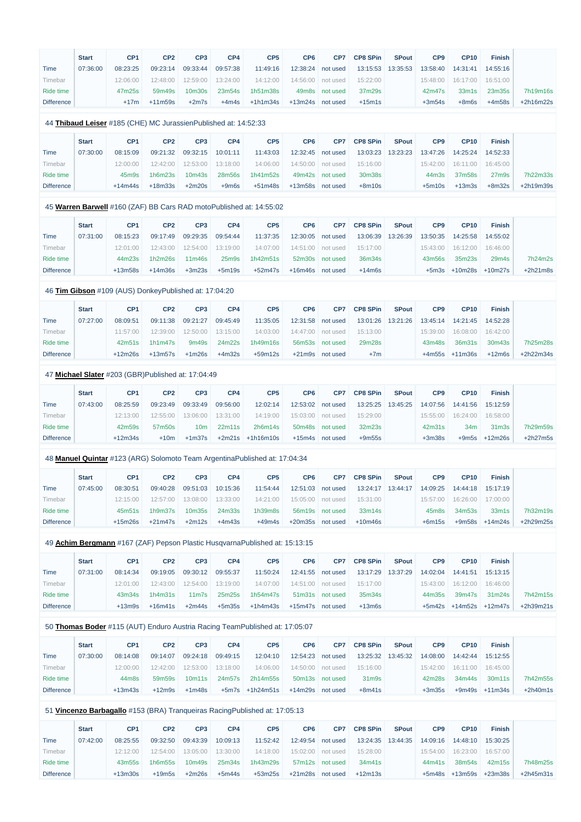|                   | <b>Start</b> | CP <sub>1</sub>                                                  | CP <sub>2</sub> | CP <sub>3</sub> | CP4                | CP <sub>5</sub>                                                             | CP <sub>6</sub>  | CP7               | <b>CP8 SPin</b> | <b>SPout</b> | CP <sub>9</sub> | <b>CP10</b>                 | <b>Finish</b>      |            |
|-------------------|--------------|------------------------------------------------------------------|-----------------|-----------------|--------------------|-----------------------------------------------------------------------------|------------------|-------------------|-----------------|--------------|-----------------|-----------------------------|--------------------|------------|
| <b>Time</b>       | 07:36:00     | 08:23:25                                                         | 09:23:14        | 09:33:44        | 09:57:38           | 11:49:16                                                                    | 12:38:24         | not used          | 13:15:53        | 13:35:53     | 13:58:40        | 14:31:41                    | 14:55:16           |            |
| Timebar           |              | 12:06:00                                                         | 12:48:00        | 12:59:00        | 13:24:00           | 14:12:00                                                                    | 14:56:00         | not used          | 15:22:00        |              | 15:48:00        | 16:17:00                    | 16:51:00           |            |
| Ride time         |              | 47m25s                                                           | 59m49s          | 10m30s          | 23m54s             | 1h51m38s                                                                    | 49m8s            | not used          | 37m29s          |              | 42m47s          | 33m1s                       | 23m35s             | 7h19m16s   |
| <b>Difference</b> |              | $+17m$                                                           | $+11m59s$       | $+2m7s$         | $+4m4s$            | $+1h1m34s$                                                                  | $+13m24s$        | not used          | $+15m1s$        |              | $+3m54s$        | $+8m6s$                     | $+4m58s$           | +2h16m22s  |
|                   |              | 44 Thibaud Leiser #185 (CHE) MC Jurassien Published at: 14:52:33 |                 |                 |                    |                                                                             |                  |                   |                 |              |                 |                             |                    |            |
|                   | <b>Start</b> | CP <sub>1</sub>                                                  | CP <sub>2</sub> | CP <sub>3</sub> | CP4                | CP <sub>5</sub>                                                             | CP <sub>6</sub>  | CP7               | <b>CP8 SPin</b> | <b>SPout</b> | CP <sub>9</sub> | <b>CP10</b>                 | <b>Finish</b>      |            |
| Time              | 07:30:00     | 08:15:09                                                         | 09:21:32        | 09:32:15        | 10:01:11           | 11:43:03                                                                    | 12:32:45         | not used          | 13:03:23        | 13:23:23     | 13:47:26        | 14:25:24                    | 14:52:33           |            |
| Timebar           |              | 12:00:00                                                         | 12:42:00        | 12:53:00        | 13:18:00           | 14:06:00                                                                    | 14:50:00         | not used          | 15:16:00        |              | 15:42:00        | 16:11:00                    | 16:45:00           |            |
| Ride time         |              | 45m9s                                                            | 1h6m23s         | 10m43s          | 28m56s             | 1h41m52s                                                                    | 49m42s           | not used          | 30m38s          |              | 44m3s           | 37m58s                      | 27 <sub>m</sub> 9s | 7h22m33s   |
| <b>Difference</b> |              | $+14m44s$                                                        | $+18m33s$       | $+2m20s$        | $+9m6s$            | $+51m48s$                                                                   | $+13m58s$        | not used          | $+8m10s$        |              | $+5m10s$        | $+13m3s$                    | $+8m32s$           | +2h19m39s  |
|                   |              |                                                                  |                 |                 |                    | 45 Warren Barwell #160 (ZAF) BB Cars RAD motoPublished at: 14:55:02         |                  |                   |                 |              |                 |                             |                    |            |
|                   | <b>Start</b> | CP <sub>1</sub>                                                  | CP <sub>2</sub> | CP <sub>3</sub> | CP4                | CP <sub>5</sub>                                                             | CP <sub>6</sub>  | CP7               | <b>CP8 SPin</b> | <b>SPout</b> | CP <sub>9</sub> | <b>CP10</b>                 | <b>Finish</b>      |            |
| Time              | 07:31:00     | 08:15:23                                                         | 09:17:49        | 09:29:35        | 09:54:44           | 11:37:35                                                                    | 12:30:05         | not used          | 13:06:39        | 13:26:39     | 13:50:35        | 14:25:58                    | 14:55:02           |            |
| Timebar           |              | 12:01:00                                                         | 12:43:00        | 12:54:00        | 13:19:00           | 14:07:00                                                                    | 14:51:00         | not used          | 15:17:00        |              | 15:43:00        | 16:12:00                    | 16:46:00           |            |
| Ride time         |              | 44m23s                                                           | 1h2m26s         | 11m46s          | 25 <sub>m</sub> 9s | 1h42m51s                                                                    | 52m30s           | not used          | 36m34s          |              | 43m56s          | 35m23s                      | 29m4s              | 7h24m2s    |
| <b>Difference</b> |              | $+13m58s$                                                        | $+14m36s$       | $+3m23s$        | $+5m19s$           | $+52m47s$                                                                   | +16m46s not used |                   | $+14m6s$        |              |                 | $+5m3s$ $+10m28s$ $+10m27s$ |                    | $+2h21m8s$ |
|                   |              | 46 Tim Gibson #109 (AUS) DonkeyPublished at: 17:04:20            |                 |                 |                    |                                                                             |                  |                   |                 |              |                 |                             |                    |            |
|                   | <b>Start</b> | CP <sub>1</sub>                                                  | CP <sub>2</sub> | CP <sub>3</sub> | CP4                | CP <sub>5</sub>                                                             | CP <sub>6</sub>  | CP7               | <b>CP8 SPin</b> | <b>SPout</b> | CP <sub>9</sub> | <b>CP10</b>                 | <b>Finish</b>      |            |
| <b>Time</b>       | 07:27:00     | 08:09:51                                                         | 09:11:38        | 09:21:27        | 09:45:49           | 11:35:05                                                                    | 12:31:58         | not used          | 13:01:26        | 13:21:26     | 13:45:14        | 14:21:45                    | 14:52:28           |            |
| Timebar           |              | 11:57:00                                                         | 12:39:00        | 12:50:00        | 13:15:00           | 14:03:00                                                                    | 14:47:00         | not used          | 15:13:00        |              | 15:39:00        | 16:08:00                    | 16:42:00           |            |
| <b>Ride time</b>  |              | 42m51s                                                           | 1h1m47s         | 9m49s           | 24m22s             | 1h49m16s                                                                    | 56m53s           | not used          | 29m28s          |              | 43m48s          | 36m31s                      | 30m43s             | 7h25m28s   |
| <b>Difference</b> |              | $+12m26s$                                                        | $+13m57s$       | $+1m26s$        | $+4m32s$           | $+59m12s$                                                                   |                  | +21m9s not used   | $+7m$           |              |                 | $+4m55s$ $+11m36s$          | $+12m6s$           | +2h22m34s  |
|                   |              | 47 Michael Slater #203 (GBR)Published at: 17:04:49               |                 |                 |                    |                                                                             |                  |                   |                 |              |                 |                             |                    |            |
|                   | <b>Start</b> | CP <sub>1</sub>                                                  | CP <sub>2</sub> | CP <sub>3</sub> | CP4                | CP <sub>5</sub>                                                             | CP <sub>6</sub>  | CP7               | <b>CP8 SPin</b> | <b>SPout</b> | CP9             | <b>CP10</b>                 | <b>Finish</b>      |            |
| <b>Time</b>       | 07:43:00     | 08:25:59                                                         | 09:23:49        | 09:33:49        | 09:56:00           | 12:02:14                                                                    | 12:53:02         | not used          | 13:25:25        | 13:45:25     | 14:07:56        | 14:41:56                    | 15:12:59           |            |
| Timebar           |              | 12:13:00                                                         | 12:55:00        | 13:06:00        | 13:31:00           | 14:19:00                                                                    | 15:03:00         | not used          | 15:29:00        |              | 15:55:00        | 16:24:00                    | 16:58:00           |            |
| Ride time         |              | 42m59s                                                           | 57m50s          | 10 <sub>m</sub> | 22m11s             | 2h6m14s                                                                     | 50m48s           | not used          | 32m23s          |              | 42m31s          | 34m                         | 31 <sub>m3s</sub>  | 7h29m59s   |
| <b>Difference</b> |              | $+12m34s$                                                        | $+10m$          | $+1m37s$        |                    | $+2m21s$ $+1h16m10s$                                                        | $+15m4s$         | not used          | $+9m55s$        |              | $+3m38s$        | $+9m5s$                     | $+12m26s$          | $+2h27m5s$ |
|                   |              |                                                                  |                 |                 |                    | 48 Manuel Quintar #123 (ARG) Solomoto Team Argentina Published at: 17:04:34 |                  |                   |                 |              |                 |                             |                    |            |
|                   | <b>Start</b> | CP <sub>1</sub>                                                  | CP <sub>2</sub> | CP <sub>3</sub> | CP4                | CP <sub>5</sub>                                                             | CP <sub>6</sub>  | CP7               | <b>CP8 SPin</b> | <b>SPout</b> | CP9             | <b>CP10</b>                 | <b>Finish</b>      |            |
| <b>Time</b>       | 07:45:00     | 08:30:51                                                         | 09:40:28        | 09:51:03        | 10:15:36           | 11:54:44                                                                    | 12:51:03         | not used          | 13:24:17        | 13:44:17     | 14:09:25        | 14:44:18                    | 15:17:19           |            |
| Timebar           |              | 12:15:00                                                         | 12:57:00        | 13:08:00        | 13:33:00           | 14:21:00                                                                    | 15:05:00         | not used          | 15:31:00        |              | 15:57:00        | 16:26:00                    | 17:00:00           |            |
| Ride time         |              | 45m51s                                                           | 1h9m37s         | 10m35s          | 24m33s             | 1h39m8s                                                                     | 56m19s           | not used          | 33m14s          |              | 45m8s           | 34m53s                      | 33m1s              | 7h32m19s   |
| <b>Difference</b> |              | $+15m26s$                                                        | $+21m47s$       | $+2m12s$        | $+4m43s$           | $+49m4s$                                                                    | +20m35s not used |                   | $+10m46s$       |              | $+6m15s$        |                             | $+9m58s$ $+14m24s$ | +2h29m25s  |
|                   |              |                                                                  |                 |                 |                    | 49 Achim Bergmann #167 (ZAF) Pepson Plastic HusqvarnaPublished at: 15:13:15 |                  |                   |                 |              |                 |                             |                    |            |
|                   | <b>Start</b> | CP <sub>1</sub>                                                  | CP <sub>2</sub> | CP <sub>3</sub> | CP4                | CP <sub>5</sub>                                                             | CP <sub>6</sub>  | CP7               | <b>CP8 SPin</b> | <b>SPout</b> | CP9             | <b>CP10</b>                 | <b>Finish</b>      |            |
| <b>Time</b>       | 07:31:00     | 08:14:34                                                         | 09:19:05        | 09:30:12        | 09:55:37           | 11:50:24                                                                    |                  | 12:41:55 not used | 13:17:29        | 13:37:29     | 14:02:04        | 14:41:51                    | 15:13:15           |            |

Timebar Ride time Difference 12:01:00 43m34s +13m9s

12:43:00 1h4m31s +16m41s

12:54:00 11m7s +2m44s

13:19:00 25m25s +5m35s

14:07:00 1h54m47s +1h4m43s

14:51:00 not used 51m31s not used +15m47s not used 15:17:00 35m34s +13m6s

44m35s

15:43:00 16:12:00 16:46:00

39m47s

+5m42s +14m52s +12m47s

31m24s

7h42m15s +2h39m21s

## 50 **[Thomas Boder](https://www.redbullromaniacs.com/for-competitors/profile/?e=rbr2019&b=115)** #115 (AUT) Enduro Austria Racing TeamPublished at: 17:05:07

|                   | <b>Start</b> | CP <sub>1</sub> | CP2      | CP <sub>3</sub> | CP4      | CP <sub>5</sub> | CP <sub>6</sub> | CP7               | <b>CP8 SPin</b>    | <b>SPout</b> | CP <sub>9</sub> | <b>CP10</b> | <b>Finish</b>    |            |
|-------------------|--------------|-----------------|----------|-----------------|----------|-----------------|-----------------|-------------------|--------------------|--------------|-----------------|-------------|------------------|------------|
| Time              | 07:30:00     | 08:14:08        | 09:14:07 | 09:24:18        | 09:49:15 | 12:04:10        |                 | 12:54:23 not used | 13:25:32           | 13:45:32     | 14:08:00        | 14:42:44    | 15:12:55         |            |
| Timebar           |              | 12:00:00        | 12:42:00 | 12:53:00        | 13:18:00 | 14:06:00        |                 | 14:50:00 not used | 15:16:00           |              | 15:42:00        | 16:11:00    | 16:45:00         |            |
| Ride time         |              | 44m8s           | 59m59s   | 10m11s          | 24m57s   | 2h14m55s        |                 | 50m13s not used   | 31 <sub>m</sub> 9s |              | 42m28s          | 34m44s      | 30m11s           | 7h42m55s   |
| <b>Difference</b> |              | $+13m43s$       | $+12m9s$ | $+1m48s$        | $+5m7s$  | $+1h24m51s$     | $+14m29s$       | not used          | $+8m41s$           |              | $+3m35s$        |             | $+9m49s +11m34s$ | $+2h40m1s$ |

## 51 **[Vincenzo Barbagallo](https://www.redbullromaniacs.com/for-competitors/profile/?e=rbr2019&b=153)** #153 (BRA) Tranqueiras RacingPublished at: 17:05:13

|                   | <b>Start</b> | CP <sub>1</sub> | CP <sub>2</sub> | CP <sub>3</sub>    | CP <sub>4</sub> | CP <sub>5</sub> | CP <sub>6</sub> | CP7      | <b>CP8 SPin</b> | <b>SPout</b> | CP <sub>9</sub> | <b>CP10</b>     | <b>Finish</b> |           |
|-------------------|--------------|-----------------|-----------------|--------------------|-----------------|-----------------|-----------------|----------|-----------------|--------------|-----------------|-----------------|---------------|-----------|
| Time              | 07:42:00     | 08:25:55        | 09:32:50        | 09:43:39           | 10:09:13        | 11:52:42        | 12:49:54        | not used | 13:24:35        | 13:44:35     | 14:09:16        | 14:48:10        | 15:30:25      |           |
| Timebar           |              | 12:12:00        | 12:54:00        | 13:05:00           | 13:30:00        | 14:18:00        | 15:02:00        | not used | 15:28:00        |              | 15:54:00        | 16:23:00        | 16:57:00      |           |
| Ride time         |              | 43m55s          | 1h6m55s         | 10 <sub>m49s</sub> | 25m34s          | 1h43m29s        | 57m12s          | not used | 34m41s          |              | 44m41s          | 38m54s          | 42m15s        | 7h48m25s  |
| <b>Difference</b> |              | $+13m30s$       | $+19m5s$        | $+2m26s$           | $+5m44s$        | +53m25s         | $+21m28s$       | not used | +12m13s         |              | +5m48s          | +13m59s +23m38s |               | +2h45m31s |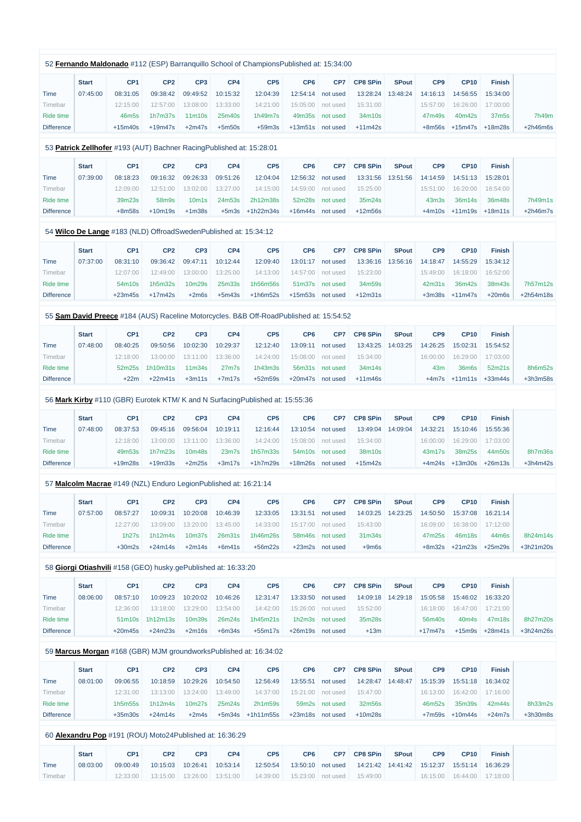|                   |              |                   |                                                                       |                                |                    | 52 Fernando Maldonado #112 (ESP) Barranquillo School of ChampionsPublished at: 15:34:00 |                 |                 |                 |              |                   |                   |                   |            |
|-------------------|--------------|-------------------|-----------------------------------------------------------------------|--------------------------------|--------------------|-----------------------------------------------------------------------------------------|-----------------|-----------------|-----------------|--------------|-------------------|-------------------|-------------------|------------|
|                   | <b>Start</b> | CP <sub>1</sub>   | CP <sub>2</sub>                                                       | CP <sub>3</sub>                | CP4                | CP <sub>5</sub>                                                                         | CP <sub>6</sub> | CP7             | <b>CP8 SPin</b> | <b>SPout</b> | CP <sub>9</sub>   | <b>CP10</b>       | <b>Finish</b>     |            |
| <b>Time</b>       | 07:45:00     | 08:31:05          | 09:38:42                                                              | 09:49:52                       | 10:15:32           | 12:04:39                                                                                | 12:54:14        | not used        | 13:28:24        | 13:48:24     | 14:16:13          | 14:56:55          | 15:34:00          |            |
| Timebar           |              | 12:15:00          | 12:57:00                                                              | 13:08:00                       | 13:33:00           | 14:21:00                                                                                | 15:05:00        | not used        | 15:31:00        |              | 15:57:00          | 16:26:00          | 17:00:00          |            |
| Ride time         |              | 46m <sub>5s</sub> | 1h7m37s                                                               | 11m10s                         | 25m40s             | 1h49m7s                                                                                 | 49m35s          | not used        | 34m10s          |              | 47m49s            | 40m42s            | 37m <sub>5s</sub> | 7h49m      |
| <b>Difference</b> |              | $+15m40s$         | $+19m47s$                                                             | $+2m47s$                       | $+5m50s$           | $+59m3s$                                                                                | $+13m51s$       | not used        | $+11m42s$       |              | $+8m56s$          | $+15m47s$         | $+18m28s$         | $+2h46m6s$ |
|                   |              |                   | 53 Patrick Zellhofer #193 (AUT) Bachner Racing Published at: 15:28:01 |                                |                    |                                                                                         |                 |                 |                 |              |                   |                   |                   |            |
|                   | <b>Start</b> | CP <sub>1</sub>   | CP <sub>2</sub>                                                       | CP <sub>3</sub>                | CP4                | CP <sub>5</sub>                                                                         | CP <sub>6</sub> | CP7             | <b>CP8 SPin</b> | <b>SPout</b> | CP <sub>9</sub>   | <b>CP10</b>       | <b>Finish</b>     |            |
| Time              | 07:39:00     | 08:18:23          | 09:16:32                                                              | 09:26:33                       | 09:51:26           | 12:04:04                                                                                | 12:56:32        | not used        | 13:31:56        | 13:51:56     | 14:14:59          | 14:51:13          | 15:28:01          |            |
| Timebar           |              | 12:09:00          | 12:51:00                                                              | 13:02:00                       | 13:27:00           | 14:15:00                                                                                | 14:59:00        | not used        | 15:25:00        |              | 15:51:00          | 16:20:00          | 16:54:00          |            |
| Ride time         |              | 39m23s            | 58m9s                                                                 | 10 <sub>m</sub> 1 <sub>s</sub> | 24m53s             | 2h12m38s                                                                                | 52m28s          | not used        | 35m24s          |              | 43 <sub>m3s</sub> | 36m14s            | 36m48s            | 7h49m1s    |
| <b>Difference</b> |              | $+8m58s$          | $+10m19s$                                                             | $+1m38s$                       |                    | $+5m3s$ $+1h22m34s$                                                                     | $+16m44s$       | not used        | $+12m56s$       |              | $+4m10s$          | $+11m19s$         | $+18m11s$         | $+2h46m7s$ |
|                   |              |                   | 54 Wilco De Lange #183 (NLD) OffroadSwedenPublished at: 15:34:12      |                                |                    |                                                                                         |                 |                 |                 |              |                   |                   |                   |            |
|                   | <b>Start</b> | CP <sub>1</sub>   | CP <sub>2</sub>                                                       | CP <sub>3</sub>                | CP4                | CP <sub>5</sub>                                                                         | CP <sub>6</sub> | CP7             | <b>CP8 SPin</b> | <b>SPout</b> | CP <sub>9</sub>   | <b>CP10</b>       | <b>Finish</b>     |            |
| Time              | 07:37:00     | 08:31:10          | 09:36:42                                                              | 09:47:11                       | 10:12:44           | 12:09:40                                                                                | 13:01:17        | not used        | 13:36:16        | 13:56:16     | 14:18:47          | 14:55:29          | 15:34:12          |            |
| Timebar           |              | 12:07:00          | 12:49:00                                                              | 13:00:00                       | 13:25:00           | 14:13:00                                                                                | 14:57:00        | not used        | 15:23:00        |              | 15:49:00          | 16:18:00          | 16:52:00          |            |
| Ride time         |              | 54m10s            | 1h5m32s                                                               | 10m29s                         | 25m33s             | 1h56m56s                                                                                | 51m37s          | not used        | 34m59s          |              | 42m31s            | 36m42s            | 38m43s            | 7h57m12s   |
| <b>Difference</b> |              | $+23m45s$         | $+17m42s$                                                             | $+2m6s$                        | $+5m43s$           | $+1h6m52s$                                                                              | $+15m53s$       | not used        | $+12m31s$       |              | $+3m38s$          | $+11m47s$         | $+20m6s$          | +2h54m18s  |
|                   |              |                   |                                                                       |                                |                    | 55 Sam David Preece #184 (AUS) Raceline Motorcycles. B&B Off-RoadPublished at: 15:54:52 |                 |                 |                 |              |                   |                   |                   |            |
|                   |              |                   |                                                                       |                                |                    |                                                                                         |                 |                 |                 |              |                   |                   |                   |            |
|                   | <b>Start</b> | CP <sub>1</sub>   | CP <sub>2</sub>                                                       | CP <sub>3</sub>                | CP4                | CP <sub>5</sub>                                                                         | CP <sub>6</sub> | CP7             | <b>CP8 SPin</b> | <b>SPout</b> | CP <sub>9</sub>   | <b>CP10</b>       | <b>Finish</b>     |            |
| Time              | 07:48:00     | 08:40:25          | 09:50:56                                                              | 10:02:30                       | 10:29:37           | 12:12:40                                                                                | 13:09:11        | not used        | 13:43:25        | 14:03:25     | 14:26:25          | 15:02:31          | 15:54:52          |            |
| Timebar           |              | 12:18:00          | 13:00:00                                                              | 13:11:00                       | 13:36:00           | 14:24:00                                                                                | 15:08:00        | not used        | 15:34:00        |              | 16:00:00          | 16:29:00          | 17:03:00          |            |
| Ride time         |              | 52m25s            | 1h10m31s                                                              | 11 <sub>m34s</sub>             | $27m$ 7s           | 1h43m3s                                                                                 | 56m31s          | not used        | 34m14s          |              | 43m               | 36m6s             | 52m21s            | 8h6m52s    |
| <b>Difference</b> |              | $+22m$            | $+22m41s$                                                             | $+3m11s$                       | $+7m17s$           | +52m59s                                                                                 | $+20m47s$       | not used        | $+11m46s$       |              |                   | $+4m7s$ $+11m11s$ | $+33m44s$         | $+3h3m58s$ |
|                   |              |                   |                                                                       |                                |                    | 56 Mark Kirby #110 (GBR) Eurotek KTM/ K and N Surfacing Published at: 15:55:36          |                 |                 |                 |              |                   |                   |                   |            |
|                   | <b>Start</b> | CP <sub>1</sub>   | CP <sub>2</sub>                                                       | CP <sub>3</sub>                | CP4                | CP <sub>5</sub>                                                                         | CP <sub>6</sub> | CP7             | <b>CP8 SPin</b> | <b>SPout</b> | CP <sub>9</sub>   | <b>CP10</b>       | <b>Finish</b>     |            |
| <b>Time</b>       | 07:48:00     | 08:37:53          | 09:45:16                                                              | 09:56:04                       | 10:19:11           | 12:16:44                                                                                | 13:10:54        | not used        | 13:49:04        | 14:09:04     | 14:32:21          | 15:10:46          | 15:55:36          |            |
| Timebar           |              | 12:18:00          | 13:00:00                                                              | 13:11:00                       | 13:36:00           | 14:24:00                                                                                | 15:08:00        | not used        | 15:34:00        |              | 16:00:00          | 16:29:00          | 17:03:00          |            |
| Ride time         |              | 49m53s            | 1h7m23s                                                               | 10m48s                         | 23 <sub>m</sub> 7s | 1h57m33s                                                                                | 54m10s          | not used        | 38m10s          |              | 43m17s            | 38m25s            | 44m50s            | 8h7m36s    |
| <b>Difference</b> |              | $+19m28s$         | $+19m33s$                                                             | $+2m25s$                       | $+3m17s$           | $+1h7m29s$                                                                              | $+18m26s$       | not used        | $+15m42s$       |              | $+4m24s$          | $+13m30s$         | $+26m13s$         | $+3h4m42s$ |
|                   |              |                   | 57 Malcolm Macrae #149 (NZL) Enduro LegionPublished at: 16:21:14      |                                |                    |                                                                                         |                 |                 |                 |              |                   |                   |                   |            |
|                   | <b>Start</b> | CP <sub>1</sub>   | CP <sub>2</sub>                                                       | CP <sub>3</sub>                | CP4                | CP <sub>5</sub>                                                                         | CP <sub>6</sub> | CP7             | <b>CP8 SPin</b> | <b>SPout</b> | CP <sub>9</sub>   | <b>CP10</b>       | <b>Finish</b>     |            |
| <b>Time</b>       | 07:57:00     | 08:57:27          | 10:09:31                                                              | 10:20:08                       | 10:46:39           | 12:33:05                                                                                | 13:31:51        | not used        | 14:03:25        | 14:23:25     | 14:50:50          | 15:37:08          | 16:21:14          |            |
| Timebar           |              | 12:27:00          | 13:09:00                                                              | 13:20:00                       | 13:45:00           | 14:33:00                                                                                | 15:17:00        | not used        | 15:43:00        |              | 16:09:00          | 16:38:00          | 17:12:00          |            |
| Ride time         |              | 1h27s             | 1h12m4s                                                               | 10m37s                         | 26m31s             | 1h46m26s                                                                                | 58m46s          | not used        | 31m34s          |              | 47m25s            | 46m18s            | 44m6s             | 8h24m14s   |
| <b>Difference</b> |              | $+30m2s$          | $+24m14s$                                                             | $+2m14s$                       | $+6m41s$           | $+56m22s$                                                                               |                 | +23m2s not used | $+9m6s$         |              | $+8m32s$          | $+21m23s$         | $+25m29s$         | +3h21m20s  |
|                   |              |                   | 58 Giorgi Otiashvili #158 (GEO) husky.gePublished at: 16:33:20        |                                |                    |                                                                                         |                 |                 |                 |              |                   |                   |                   |            |
|                   |              |                   |                                                                       |                                |                    |                                                                                         |                 |                 |                 |              |                   |                   |                   |            |
|                   | <b>Start</b> | CP <sub>1</sub>   | CP <sub>2</sub>                                                       | CP <sub>3</sub>                | CP4                | CP <sub>5</sub>                                                                         | CP <sub>6</sub> | CP7             | <b>CP8 SPin</b> | <b>SPout</b> | CP <sub>9</sub>   | <b>CP10</b>       | <b>Finish</b>     |            |
| <b>Time</b>       | 08:06:00     | 08:57:10          | 10:09:23                                                              | 10:20:02                       | 10:46:26           | 12:31:47                                                                                | 13:33:50        | not used        | 14:09:18        | 14:29:18     | 15:05:58          | 15:46:02          | 16:33:20          |            |

Timebar

12:36:00 13:18:00 13:29:00 13:54:00

14:42:00 15:26:00 not used

| Ride time         |  | 51m10s 1h12m13s 10m39s |        | 26m24s | 1h45m21s | 1h2m3s not used | 35m28s | 56m40s | 40m4s 47m18s | 8h27m20s                                 |
|-------------------|--|------------------------|--------|--------|----------|-----------------|--------|--------|--------------|------------------------------------------|
| <b>Difference</b> |  | $+20m45s +24m23s$      | +2m16s |        |          |                 | $+13m$ |        |              | $+17m47s$ $+15m9s$ $+28m41s$ $+3h24m26s$ |

15:52:00

16:18:00 16:47:00 17:21:00

#### 59 **[Marcus Morgan](https://www.redbullromaniacs.com/for-competitors/profile/?e=rbr2019&b=168)** #168 (GBR) MJM groundworksPublished at: 16:34:02

|                   | <b>Start</b> | CP <sub>1</sub> | CP <sub>2</sub> | CP <sub>3</sub>    | CP4      | CP <sub>5</sub> | CP <sub>6</sub> | CP <sub>7</sub> | <b>CP8 SPin</b> | <b>SPout</b> | CP <sub>9</sub> | <b>CP10</b> | <b>Finish</b> |            |
|-------------------|--------------|-----------------|-----------------|--------------------|----------|-----------------|-----------------|-----------------|-----------------|--------------|-----------------|-------------|---------------|------------|
| Time              | 08:01:00     | 09:06:55        | 10:18:59        | 10:29:26           | 10:54:50 | 12:56:49        | 13:55:51        | not used        | 14:28:47        | 14:48:47     | 15:15:39        | 15:51:18    | 16:34:02      |            |
| Fimebar           |              | 12:31:00        | 13:13:00        | 13:24:00           | 13:49:00 | 14:37:00        | 15:21:00        | not used        | 15:47:00        |              | 16:13:00        | 16:42:00    | 17:16:00      |            |
| Ride time         |              | 1h5m55s         | 1h12m4s         | 10 <sub>m27s</sub> | 25m24s   | 2h1m59s         | 59m2s           | not used        | 32m56s          |              | 46m52s          | 35m39s      | 42m44s        | 8h33m2s    |
| <b>Difference</b> |              | $+35m30s$       | $+24m14s$       | $+2m4s$            | $+5m34s$ | +1h11m55s       | $+23m18s$       | not used        | $+10m28s$       |              | $+7m59s$        | $+10m44s$   | $+24m7s$      | $+3h30m8s$ |

## 60 **[Alexandru Pop](https://www.redbullromaniacs.com/for-competitors/profile/?e=rbr2019&b=191)** #191 (ROU) Moto24Published at: 16:36:29

|         | <b>Start</b> | CP <sub>1</sub> | CP <sub>2</sub>                | CP <sub>3</sub>              | CP4 | CP <sub>5</sub> | CP <sub>6</sub>     | CP7 | <b>CP8 SPin</b> | <b>SPout</b> | CP <sub>9</sub> | CP <sub>10</sub> | <b>Finish</b>                |
|---------|--------------|-----------------|--------------------------------|------------------------------|-----|-----------------|---------------------|-----|-----------------|--------------|-----------------|------------------|------------------------------|
| Time    | 08:03:00     | 09:00:49        |                                | 10:15:03  10:26:41  10:53:14 |     | 12:50:54        |                     |     |                 |              |                 |                  | 15:51:14 16:36:29            |
| Timebar |              | 12:33:00        | 13:15:00   13:26:00   13:51:00 |                              |     | 14:39:00        | 15:23:00   not used |     | 15:49:00        |              |                 |                  | $16:15:00$ 16:44:00 17:18:00 |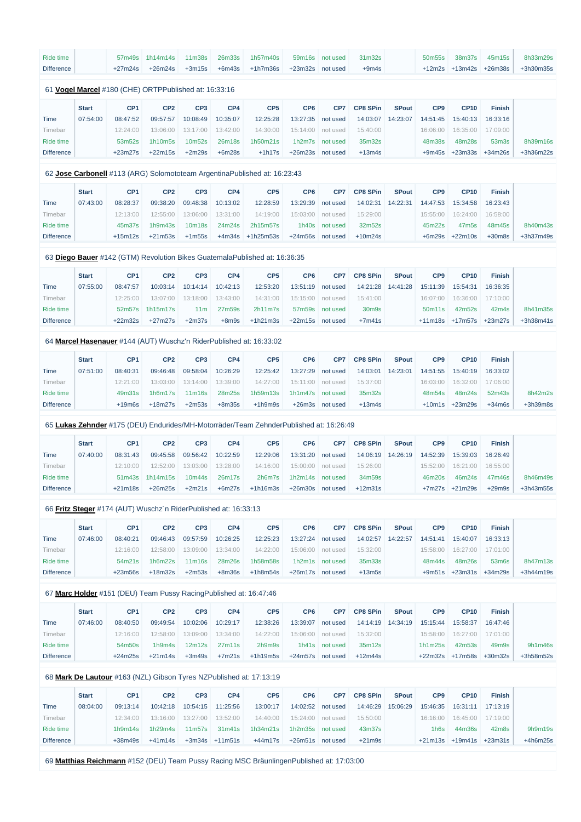| Ride time         |              | 57m49s          | 1h14m14s                                                        | 11m38s          | 26m33s   | 1h57m40s                                                                               | 59m16s           | not used        | 31m32s          |              | 50m55s          | 38m37s             | 45m15s             | 8h33m29s    |
|-------------------|--------------|-----------------|-----------------------------------------------------------------|-----------------|----------|----------------------------------------------------------------------------------------|------------------|-----------------|-----------------|--------------|-----------------|--------------------|--------------------|-------------|
| <b>Difference</b> |              | $+27m24s$       | $+26m24s$                                                       | $+3m15s$        | $+6m43s$ | $+1h7m36s$                                                                             | $+23m32s$        | not used        | $+9m4s$         |              | $+12m2s$        | $+13m42s$          | $+26m38s$          | +3h30m35s   |
|                   |              |                 |                                                                 |                 |          |                                                                                        |                  |                 |                 |              |                 |                    |                    |             |
|                   |              |                 | 61 Vogel Marcel #180 (CHE) ORTPPublished at: 16:33:16           |                 |          |                                                                                        |                  |                 |                 |              |                 |                    |                    |             |
|                   | <b>Start</b> | CP <sub>1</sub> | CP <sub>2</sub>                                                 | CP <sub>3</sub> | CP4      | CP <sub>5</sub>                                                                        | CP <sub>6</sub>  | CP7             | <b>CP8 SPin</b> | <b>SPout</b> | CP <sub>9</sub> | <b>CP10</b>        | <b>Finish</b>      |             |
| <b>Time</b>       | 07:54:00     | 08:47:52        | 09:57:57                                                        | 10:08:49        | 10:35:07 | 12:25:28                                                                               | 13:27:35         | not used        | 14:03:07        | 14:23:07     | 14:51:45        | 15:40:13           | 16:33:16           |             |
| Timebar           |              | 12:24:00        | 13:06:00                                                        | 13:17:00        | 13:42:00 | 14:30:00                                                                               | 15:14:00         | not used        | 15:40:00        |              | 16:06:00        | 16:35:00           | 17:09:00           |             |
| <b>Ride time</b>  |              | 53m52s          | 1h10m5s                                                         | 10m52s          | 26m18s   | 1h50m21s                                                                               | 1h2m7s           | not used        | 35m32s          |              | 48m38s          | 48m28s             | 53m3s              | 8h39m16s    |
| <b>Difference</b> |              | $+23m27s$       | $+22m15s$                                                       | $+2m29s$        | $+6m28s$ | $+1h17s$                                                                               | $+26m23s$        | not used        | $+13m4s$        |              | $+9m45s$        | $+23m33s$          | $+34m26s$          | +3h36m22s   |
|                   |              |                 |                                                                 |                 |          |                                                                                        |                  |                 |                 |              |                 |                    |                    |             |
|                   |              |                 |                                                                 |                 |          | 62 Jose Carbonell #113 (ARG) Solomototeam ArgentinaPublished at: 16:23:43              |                  |                 |                 |              |                 |                    |                    |             |
|                   | <b>Start</b> | CP <sub>1</sub> | CP <sub>2</sub>                                                 | CP <sub>3</sub> | CP4      | CP <sub>5</sub>                                                                        | CP <sub>6</sub>  | CP7             | <b>CP8 SPin</b> | <b>SPout</b> | CP <sub>9</sub> | <b>CP10</b>        | <b>Finish</b>      |             |
| <b>Time</b>       | 07:43:00     | 08:28:37        | 09:38:20                                                        | 09:48:38        | 10:13:02 | 12:28:59                                                                               | 13:29:39         | not used        | 14:02:31        | 14:22:31     | 14:47:53        | 15:34:58           | 16:23:43           |             |
| Timebar           |              | 12:13:00        | 12:55:00                                                        | 13:06:00        | 13:31:00 | 14:19:00                                                                               | 15:03:00         | not used        | 15:29:00        |              | 15:55:00        | 16:24:00           | 16:58:00           |             |
| Ride time         |              | 45m37s          | 1h9m43s                                                         | 10m18s          | 24m24s   | 2h15m57s                                                                               | 1h40s            | not used        | 32m52s          |              | 45m22s          | 47m <sub>5s</sub>  | 48m45s             | 8h40m43s    |
| <b>Difference</b> |              | $+15m12s$       | $+21m53s$                                                       | $+1m55s$        | $+4m34s$ | $+1h25m53s$                                                                            | $+24m56s$        | not used        | $+10m24s$       |              | $+6m29s$        | $+22m10s$          | $+30m8s$           | $+3h37m49s$ |
|                   |              |                 |                                                                 |                 |          |                                                                                        |                  |                 |                 |              |                 |                    |                    |             |
|                   |              |                 |                                                                 |                 |          | 63 Diego Bauer #142 (GTM) Revolution Bikes GuatemalaPublished at: 16:36:35             |                  |                 |                 |              |                 |                    |                    |             |
|                   | <b>Start</b> | CP <sub>1</sub> | CP <sub>2</sub>                                                 | CP <sub>3</sub> | CP4      | CP <sub>5</sub>                                                                        | CP <sub>6</sub>  | CP7             | <b>CP8 SPin</b> | <b>SPout</b> | CP <sub>9</sub> | <b>CP10</b>        | <b>Finish</b>      |             |
| <b>Time</b>       | 07:55:00     | 08:47:57        | 10:03:14                                                        | 10:14:14        | 10:42:13 | 12:53:20                                                                               | 13:51:19         | not used        | 14:21:28        | 14:41:28     | 15:11:39        | 15:54:31           | 16:36:35           |             |
| Timebar           |              | 12:25:00        | 13:07:00                                                        | 13:18:00        | 13:43:00 | 14:31:00                                                                               | 15:15:00         | not used        | 15:41:00        |              | 16:07:00        | 16:36:00           | 17:10:00           |             |
| Ride time         |              | 52m57s          | 1h15m17s                                                        | 11 <sub>m</sub> | 27m59s   | 2h11m7s                                                                                | 57m59s           | not used        | 30m9s           |              | 50m11s          | 42m52s             | 42m4s              | 8h41m35s    |
| <b>Difference</b> |              | $+22m32s$       | $+27m27s$                                                       | $+2m37s$        | $+8m9s$  | $+1h21m3s$                                                                             | $+22m15s$        | not used        | $+7m41s$        |              | $+11m18s$       | $+17m57s$          | $+23m27s$          | +3h38m41s   |
|                   |              |                 |                                                                 |                 |          |                                                                                        |                  |                 |                 |              |                 |                    |                    |             |
|                   |              |                 |                                                                 |                 |          | 64 Marcel Hasenauer #144 (AUT) Wuschz'n RiderPublished at: 16:33:02                    |                  |                 |                 |              |                 |                    |                    |             |
|                   | <b>Start</b> | CP <sub>1</sub> | CP <sub>2</sub>                                                 | CP <sub>3</sub> | CP4      | CP <sub>5</sub>                                                                        | CP <sub>6</sub>  | CP7             | <b>CP8 SPin</b> | <b>SPout</b> | CP <sub>9</sub> | <b>CP10</b>        | <b>Finish</b>      |             |
| <b>Time</b>       | 07:51:00     | 08:40:31        | 09:46:48                                                        | 09:58:04        | 10:26:29 | 12:25:42                                                                               | 13:27:29         | not used        | 14:03:01        | 14:23:01     | 14:51:55        | 15:40:19           | 16:33:02           |             |
| Timebar           |              | 12:21:00        | 13:03:00                                                        | 13:14:00        | 13:39:00 | 14:27:00                                                                               | 15:11:00         | not used        | 15:37:00        |              | 16:03:00        | 16:32:00           | 17:06:00           |             |
| Ride time         |              | 49m31s          | 1h6m17s                                                         | 11m16s          | 28m25s   | 1h59m13s                                                                               | 1h1m47s          | not used        | 35m32s          |              | 48m54s          | 48m24s             | 52m43s             | 8h42m2s     |
| <b>Difference</b> |              | $+19m6s$        | $+18m27s$                                                       | $+2m53s$        | $+8m35s$ | $+1h9m9s$                                                                              |                  | +26m3s not used | $+13m4s$        |              |                 | $+10m1s$ $+23m29s$ | $+34m6s$           | +3h39m8s    |
|                   |              |                 |                                                                 |                 |          | 65 Lukas Zehnder #175 (DEU) Endurides/MH-Motorräder/Team ZehnderPublished at: 16:26:49 |                  |                 |                 |              |                 |                    |                    |             |
|                   |              |                 |                                                                 |                 |          |                                                                                        |                  |                 |                 |              |                 |                    |                    |             |
|                   | <b>Start</b> | CP <sub>1</sub> | CP <sub>2</sub>                                                 | CP <sub>3</sub> | CP4      | CP <sub>5</sub>                                                                        | CP <sub>6</sub>  | CP7             | <b>CP8 SPin</b> | <b>SPout</b> | CP <sub>9</sub> | <b>CP10</b>        | <b>Finish</b>      |             |
| <b>Time</b>       | 07:40:00     | 08:31:43        | 09:45:58                                                        | 09:56:42        | 10:22:59 | 12:29:06                                                                               | 13:31:20         | not used        | 14:06:19        | 14:26:19     | 14:52:39        | 15:39:03           | 16:26:49           |             |
| Timebar           |              | 12:10:00        | 12:52:00                                                        | 13:03:00        | 13:28:00 | 14:16:00                                                                               | 15:00:00         | not used        | 15:26:00        |              | 15:52:00        | 16:21:00           | 16:55:00           |             |
| Ride time         |              | 51m43s          | 1h14m15s                                                        | 10m44s          | 26m17s   | 2h6m7s                                                                                 | 1h2m14s          | not used        | 34m59s          |              | 46m20s          | 46m24s             | 47m46s             | 8h46m49s    |
| <b>Difference</b> |              | $+21m18s$       | $+26m25s$                                                       | $+2m21s$        | $+6m27s$ | $+1h16m3s$                                                                             | $+26m30s$        | not used        | $+12m31s$       |              | $+7m27s$        | $+21m29s$          | $+29m9s$           | +3h43m55s   |
|                   |              |                 | 66 Fritz Steger #174 (AUT) Wuschz'n RiderPublished at: 16:33:13 |                 |          |                                                                                        |                  |                 |                 |              |                 |                    |                    |             |
|                   | <b>Start</b> | CP <sub>1</sub> | CP <sub>2</sub>                                                 | CP <sub>3</sub> | CP4      | CP <sub>5</sub>                                                                        | CP <sub>6</sub>  | CP7             | <b>CP8 SPin</b> | <b>SPout</b> | CP <sub>9</sub> | <b>CP10</b>        | <b>Finish</b>      |             |
|                   |              |                 |                                                                 | 09:57:59        |          |                                                                                        |                  |                 |                 |              |                 |                    |                    |             |
| Time              | 07:46:00     | 08:40:21        | 09:46:43                                                        |                 | 10:26:25 | 12:25:23                                                                               | 13:27:24         | not used        | 14:02:57        | 14:22:57     | 14:51:41        | 15:40:07           | 16:33:13           |             |
| Timebar           |              | 12:16:00        | 12:58:00                                                        | 13:09:00        | 13:34:00 | 14:22:00                                                                               | 15:06:00         | not used        | 15:32:00        |              | 15:58:00        | 16:27:00           | 17:01:00           |             |
| Ride time         |              | 54m21s          | 1h6m22s                                                         | 11m16s          | 28m26s   | 1h58m58s                                                                               | 1h2m1s           | not used        | 35m33s          |              | 48m44s          | 48m26s             | 53 <sub>m</sub> 6s | 8h47m13s    |
| <b>Difference</b> |              | $+23m56s$       | $+18m32s$                                                       | $+2m53s$        | $+8m36s$ | $+1h8m54s$                                                                             | +26m17s not used |                 | $+13m5s$        |              | $+9m51s$        | $+23m31s$          | $+34m29s$          | +3h44m19s   |
|                   |              |                 |                                                                 |                 |          |                                                                                        |                  |                 |                 |              |                 |                    |                    |             |

## 67 **[Marc Holder](https://www.redbullromaniacs.com/for-competitors/profile/?e=rbr2019&b=151)** #151 (DEU) Team Pussy RacingPublished at: 16:47:46

|                   | <b>Start</b> | CP <sub>1</sub> | CP <sub>2</sub> | CP <sub>3</sub> | CP4      | CP <sub>5</sub> | CP <sub>6</sub> | CP7            | <b>CP8 SPin</b> | <b>SPout</b> | CP <sub>9</sub> | <b>CP10</b> | <b>Finish</b> |             |
|-------------------|--------------|-----------------|-----------------|-----------------|----------|-----------------|-----------------|----------------|-----------------|--------------|-----------------|-------------|---------------|-------------|
| Time              | 07:46:00     | 08:40:50        | 09:49:54        | 10:02:06        | 10:29:17 | 12:38:26        | 13:39:07        | not used       | 14:14:19        | 14:34:19     | 15:15:44        | 15:58:37    | 16:47:46      |             |
| Timebar           |              | 12:16:00        | 12:58:00        | 13:09:00        | 13:34:00 | 14:22:00        | 15:06:00        | not used       | 15:32:00        |              | 15:58:00        | 16:27:00    | 17:01:00      |             |
| Ride time         |              | 54m50s          | 1h9m4s          | 12m12s          | 27m11s   | 2h9m9s          |                 | 1h41s not used | 35m12s          |              | 1h1m25s         | 42m53s      | 49m9s         | 9h1m46s     |
| <b>Difference</b> |              | $+24m25s$       | $+21m14s$       | $+3m49s$        | $+7m21s$ | $+1h19m5s$      | $+24m57s$       | not used       | $+12m44s$       |              | $+22m32s$       | +17m58s     | $+30m32s$     | $+3h58m52s$ |

# 68 **[Mark De Lautour](https://www.redbullromaniacs.com/for-competitors/profile/?e=rbr2019&b=163)** #163 (NZL) Gibson Tyres NZPublished at: 17:13:19

|                   | <b>Start</b> | CP <sub>1</sub> | CP <sub>2</sub> | CP <sub>3</sub>    | CP4              | CP <sub>5</sub> | CP6       | CP <sub>7</sub> | <b>CP8 SPin</b> | <b>SPout</b> | CP <sub>9</sub> | <b>CP10</b>         | <b>Finish</b>                  |            |
|-------------------|--------------|-----------------|-----------------|--------------------|------------------|-----------------|-----------|-----------------|-----------------|--------------|-----------------|---------------------|--------------------------------|------------|
| Time              | 08:04:00     | 09:13:14        | 10:42:18        | 10:54:15           | 11:25:56         | 13:00:17        | 14:02:52  | not used        | 14:46:29        | 15:06:29     | 15:46:35        | 16:31:11            | 17:13:19                       |            |
| <u>Fimebar</u>    |              | 12:34:00        | 13:16:00        | 13:27:00           | 13:52:00         | 14:40:00        | 15:24:00  | not used        | 15:50:00        |              | 16:16:00        | 16:45:00            | 17:19:00                       |            |
| Ride time         |              | 1h9m14s         | 1h29m4s         | 11 <sub>m57s</sub> | 31m41s           | 1h34m21s        | 1h2m35s   | not used        | 43m37s          |              | $1h$ 6s         | 44m36s              | 42 <sub>m</sub> 8 <sub>s</sub> | 9h9m19s    |
| <b>Difference</b> |              | +38m49s         | $+41m14s$       |                    | $+3m34s +11m51s$ | +44m17s         | $+26m51s$ | not used        | $+21m9s$        |              |                 | $+21m13s$ $+19m41s$ | $+23m31s$                      | $+4h6m25s$ |

69 **[Matthias Reichmann](https://www.redbullromaniacs.com/for-competitors/profile/?e=rbr2019&b=152)** #152 (DEU) Team Pussy Racing MSC BräunlingenPublished at: 17:03:00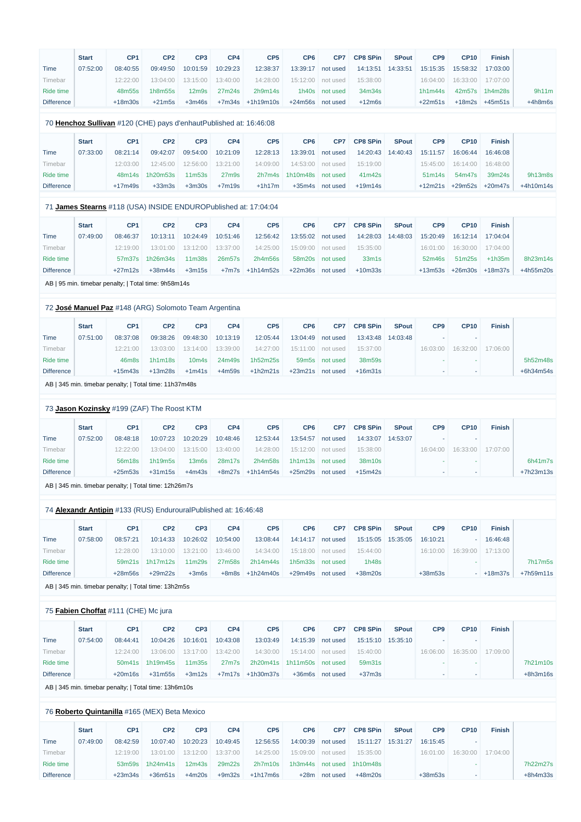|                   | <b>Start</b> | CP <sub>1</sub> | CP <sub>2</sub> | CP <sub>3</sub>                | CP <sub>4</sub>    | CP <sub>5</sub>      | CP <sub>6</sub>     | CP7            | <b>CP8 SPin</b> | <b>SPout</b> | CP <sub>9</sub> | <b>CP10</b> | <b>Finish</b>  |
|-------------------|--------------|-----------------|-----------------|--------------------------------|--------------------|----------------------|---------------------|----------------|-----------------|--------------|-----------------|-------------|----------------|
| Time              | 07:52:00     | 08:40:55        | 09:49:50        | 10:01:59                       | 10:29:23           | 12:38:37             | 13:39:17            | not used       | 14:13:51        | 14:33:51     | 15:15:35        | 15:58:32    | 17:03:00       |
| Timebar           |              | 12:22:00        | 13:04:00        |                                | 13:15:00  13:40:00 | 14:28:00             | 15:12:00   not used |                | 15:38:00        |              | 16:04:00        | 16:33:00    | 17:07:00       |
| Ride time         |              | 48m55s          | 1h8m55s         | 12 <sub>m</sub> 9 <sub>s</sub> | 27m24s             | 2h9m14s              |                     | 1h40s not used | 34m34s          |              | 1h1m44s         |             | 42m57s 1h4m28s |
| <b>Difference</b> |              | +18m30s         | $+21m5s$        | $+3m46s$                       |                    | $+7m34s$ $+1h19m10s$ | +24m56s not used    |                | $+12m$ 6s       |              | $+22m51s$       | $+18m2s$    | +45m51s        |
|                   |              |                 |                 |                                |                    |                      |                     |                |                 |              |                 |             |                |

## 70 **[Henchoz Sullivan](https://www.redbullromaniacs.com/for-competitors/profile/?e=rbr2019&b=120)** #120 (CHE) pays d'enhautPublished at: 16:46:08

|                   | <b>Start</b> | CP <sub>1</sub> | CP <sub>2</sub> | CP <sub>3</sub> | CP <sub>4</sub>                | CP <sub>5</sub> | CP6      | CP <sub>7</sub> | <b>CP8 SPin</b> | <b>SPout</b> | CP <sub>9</sub>    | <b>CP10</b> | <b>Finish</b> |             |
|-------------------|--------------|-----------------|-----------------|-----------------|--------------------------------|-----------------|----------|-----------------|-----------------|--------------|--------------------|-------------|---------------|-------------|
| Time              | 07:33:00     | 08:21:14        | 09:42:07        | 09:54:00        | 10:21:09                       | 12:28:13        | 13:39:01 | not used        | 14:20:43        | 14:40:43     | 15:11:57           | 16:06:44    | 16:46:08      |             |
| Timebar           |              | 12:03:00        | 12:45:00        | 12:56:00        | 13:21:00                       | 14:09:00        | 14:53:00 | not used        | 15:19:00        |              | 15:45:00           | 16:14:00    | 16:48:00      |             |
| Ride time         |              | 48m14s          | 1h20m53s        | 11m53s          | 27 <sub>m</sub> 9 <sub>s</sub> | 2h7m4s          | 1h10m48s | not used        | 41m42s          |              | 51 <sub>m14s</sub> | 54m47s      | 39m24s        | 9h13m8s     |
| <b>Difference</b> |              | $+17m49s$       | $+33m3s$        | $+3m30s$        | $+7m19s$                       | $+1h17m$        | $+35m4s$ | not used        | $+19m14s$       |              | $+12m21s$          | $+29m52s$   | $+20m47s$     | $+4h10m14s$ |

## 71 **[James Stearns](https://www.redbullromaniacs.com/for-competitors/profile/?e=rbr2019&b=118)** #118 (USA) INSIDE ENDUROPublished at: 17:04:04

|                   | <b>Start</b> | CP <sub>1</sub> | CP <sub>2</sub> | CP <sub>3</sub>    | CP4      | CP <sub>5</sub> | CP <sub>6</sub> | CP <sub>7</sub> | <b>CP8 SPin</b>                | <b>SPout</b> | CP <sub>9</sub> | <b>CP10</b> | <b>Finish</b> |           |
|-------------------|--------------|-----------------|-----------------|--------------------|----------|-----------------|-----------------|-----------------|--------------------------------|--------------|-----------------|-------------|---------------|-----------|
| Time              | 07:49:00     | 08:46:37        | 10:13:11        | 10:24:49           | 10:51:46 | 12:56:42        | 13:55:02        | not used        | 14:28:03                       | 14:48:03     | 15:20:49        | 16:12:14    | 17:04:04      |           |
| Fimebar           |              | 12:19:00        | 13:01:00        | 13:12:00           | 13:37:00 | 14:25:00        | 15:09:00        | not used        | 15:35:00                       |              | 16:01:00        | 16:30:00    | 17:04:00      |           |
| Ride time         |              | 57m37s          | 1h26m34s        | 11 <sub>m38s</sub> | 26m57s   | 2h4m56s         | 58m20s          | not used        | 33 <sub>m</sub> 1 <sub>s</sub> |              | 52m46s          | 51m25s      | $+1h35m$      | 8h23m14s  |
| <b>Difference</b> |              | +27m12s         | $+38m44s$       | $+3m15s$           | $+7m7s$  | +1h14m52s       | $+22m36s$       | not used        | $+10m33s$                      |              | $+13m53s$       | $+26m30s$   | $+18m37s$     | +4h55m20s |

AB | 95 min. timebar penalty; | Total time: 9h58m14s

## 72 **[José Manuel Paz](https://www.redbullromaniacs.com/for-competitors/profile/?e=rbr2019&b=148)** #148 (ARG) Solomoto Team Argentina

| <b>Start</b> | CP <sub>1</sub> | CP <sub>2</sub> | CP <sub>3</sub>   | CP4      | CP <sub>5</sub> | CP <sub>6</sub>    | CP <sub>7</sub> | <b>CP8 SPin</b> | <b>SPout</b> | CP <sub>9</sub> | <b>CP10</b> | <b>Finish</b> |             |
|--------------|-----------------|-----------------|-------------------|----------|-----------------|--------------------|-----------------|-----------------|--------------|-----------------|-------------|---------------|-------------|
| 07:51:00     | 08:37:08        | 09:38:26        | 09:48:30          | 10:13:19 | 12:05:44        | 13:04:49           | not used        | 13:43:48        | 14:03:48     | ۰               |             |               |             |
|              | 12:21:00        | 13:03:00        | 13:14:00          | 13:39:00 | 14:27:00        | 15:11:00           | not used        | 15:37:00        |              | 16:03:00        | 16:32:00    | 17:06:00      |             |
|              | 46m8s           | 1h1m18s         | 10 <sub>m4s</sub> | 24m49s   | 1h52m25s        | 59 <sub>m</sub> 5s | not used        | 38m59s          |              |                 |             |               | 5h52m48s    |
|              | $+15m43s$       | $+13m28s$       | $+1m41s$          | $+4m59s$ | $+1h2m21s$      | $+23m21s$          | not used        | $+16m31s$       |              |                 |             |               | $+6h34m54s$ |
|              |                 |                 |                   |          |                 |                    |                 |                 |              |                 |             |               |             |

AB | 345 min. timebar penalty; | Total time: 11h37m48s

## 73 **[Jason Kozinsky](https://www.redbullromaniacs.com/for-competitors/profile/?e=rbr2019&b=199)** #199 (ZAF) The Roost KTM

|                   | <b>Start</b> | CP <sub>1</sub> | CP <sub>2</sub> | CP <sub>3</sub>    | CP4      | CP <sub>5</sub> | CP <sub>6</sub> | CP7      | <b>CP8 SPin</b> | <b>SPout</b> | CP <sub>9</sub> | <b>CP10</b> | <b>Finish</b> |             |
|-------------------|--------------|-----------------|-----------------|--------------------|----------|-----------------|-----------------|----------|-----------------|--------------|-----------------|-------------|---------------|-------------|
| Time              | 07:52:00     | 08:48:18        | 10:07:23        | 10:20:29           | 10:48:46 | 12:53:44        | 13:54:57        | not used | 14:33:07        | 14:53:07     |                 |             |               |             |
| Fimebar           |              | 12:22:00        | 13:04:00        | 13:15:00           | 13:40:00 | 14:28:00        | 15:12:00        | not used | 15:38:00        |              | 16:04:00        | 16:33:00    | 17:07:00      |             |
| Ride time         |              | 56m18s          | 1h19m5s         | 13 <sub>m</sub> 6s | 28m17s   | 2h4m58s         | 1h1m13s         | not used | 38m10s          |              |                 |             |               |             |
| <b>Difference</b> |              | $+25m53s$       | $+31m15s$       | $+4m43s$           | $+8m27s$ | +1h14m54s       | $+25m29s$       | not used | $+15m42s$       |              |                 | . .         |               | $+7h23m13s$ |

AB | 345 min. timebar penalty; | Total time: 12h26m7s

## 74 **[Alexandr Antipin](https://www.redbullromaniacs.com/for-competitors/profile/?e=rbr2019&b=133)** #133 (RUS) EndurouralPublished at: 16:46:48

|                   | <b>Start</b> | CP <sub>1</sub> | CP <sub>2</sub> | CP <sub>3</sub>    | CP4      | CP <sub>5</sub> | CP <sub>6</sub> | CP <sub>7</sub> | <b>CP8 SPin</b>    | <b>SPout</b> | CP <sub>9</sub> | <b>CP10</b> | <b>Finish</b> |             |
|-------------------|--------------|-----------------|-----------------|--------------------|----------|-----------------|-----------------|-----------------|--------------------|--------------|-----------------|-------------|---------------|-------------|
| Time              | 07:58:00     | 08:57:21        | 10:14:33        | 10:26:02           | 10:54:00 | 13:08:44        | 14:14:17        | not used        | 15:15:05  15:35:05 |              | 16:10:21        |             | 16:46:48      |             |
| Fimebar           |              | 12:28:00        | 13:10:00        | 13:21:00           | 13:46:00 | 14:34:00        | 15:18:00        | not used        | 15:44:00           |              | 16:10:00        | 16:39:00    | 17:13:00      |             |
| Ride time         |              |                 | 59m21s 1h17m12s | 11 <sub>m29s</sub> | 27m58s   | 2h14m44s        | 1h5m33s         | not used        | 1h48s              |              |                 |             |               | 7h17m5s     |
| <b>Difference</b> |              | $+28m56s$       | $+29m22s$       | $+3m6s$            | $+8m8s$  | +1h24m40s       | +29m49s         | not used        | $+38m20s$          |              | $+38m53s$       |             | $+18m37s$     | $+7h59m11s$ |

AB | 345 min. timebar penalty; | Total time: 13h2m5s

## 75 **[Fabien Choffat](https://www.redbullromaniacs.com/for-competitors/profile/?e=rbr2019&b=111)** #111 (CHE) Mc jura

|                   | <b>Start</b> | CP <sub>1</sub>                                       | CP <sub>2</sub> | CP <sub>3</sub>    | CP4      | CP <sub>5</sub>      | CP <sub>6</sub> | CP7      | <b>CP8 SPin</b> | <b>SPout</b> | CP <sub>9</sub>          | <b>CP10</b> | <b>Finish</b> |            |
|-------------------|--------------|-------------------------------------------------------|-----------------|--------------------|----------|----------------------|-----------------|----------|-----------------|--------------|--------------------------|-------------|---------------|------------|
| Time              | 07:54:00     | 08:44:41                                              | 10:04:26        | 10:16:01           | 10:43:08 | 13:03:49             | 14:15:39        | not used | 15:15:10        | 15:35:10     | $\overline{\phantom{a}}$ |             |               |            |
| Timebar           |              | 12:24:00                                              | 13:06:00        | 13:17:00           | 13:42:00 | 14:30:00             | 15:14:00        | not used | 15:40:00        |              | 16:06:00                 | 16:35:00    | 17:09:00      |            |
| Ride time         |              | 50m41s                                                | 1h19m45s        | 11 <sub>m35s</sub> | 27m7s    | 2h20m41s             | 1h11m50s        | not used | 59m31s          |              | ۰                        |             |               | 7h21m10s   |
| <b>Difference</b> |              | $+20m16s$                                             | $+31m55s$       | $+3m12s$           |          | $+7m17s$ $+1h30m37s$ | $+36m6s$        | not used | $+37m3s$        |              | $\sim$                   | ٠           |               | $+8h3m16s$ |
|                   |              | AB   345 min. timebar penalty;   Total time: 13h6m10s |                 |                    |          |                      |                 |          |                 |              |                          |             |               |            |
|                   |              |                                                       |                 |                    |          |                      |                 |          |                 |              |                          |             |               |            |
|                   |              | 76 Roberto Quintanilla #165 (MEX) Beta Mexico         |                 |                    |          |                      |                 |          |                 |              |                          |             |               |            |
|                   | <b>Start</b> | CP <sub>1</sub>                                       | CP <sub>2</sub> | CP <sub>3</sub>    | CP4      | CP <sub>5</sub>      | CP <sub>6</sub> | CP7      | <b>CP8 SPin</b> | <b>SPout</b> | CP <sub>9</sub>          | <b>CP10</b> | <b>Finish</b> |            |
| <b>Time</b>       | 07:49:00     | 08:42:59                                              | 10:07:40        | 10:20:23           | 10:49:45 | 12:56:55             | 14:00:39        | not used | 15:11:27        | 15:31:27     | 16:15:45                 |             |               |            |
| Timebar           |              | 12:19:00                                              | 13:01:00        | 13:12:00           | 13:37:00 | 14:25:00             | 15:09:00        | not used | 15:35:00        |              | 16:01:00                 | 16:30:00    | 17:04:00      |            |
| Ride time         |              | 53m59s                                                | 1h24m41s        | 12m43s             | 29m22s   | 2h7m10s              | 1h3m44s         | not used | 1h10m48s        |              |                          |             |               | 7h22m27s   |
| <b>Difference</b> |              | $+23m34s$                                             | $+36m51s$       | $+4m20s$           | $+9m32s$ | $+1h17m6s$           | $+28m$          | not used | $+48m20s$       |              | $+38m53s$                |             |               | $+8h4m33s$ |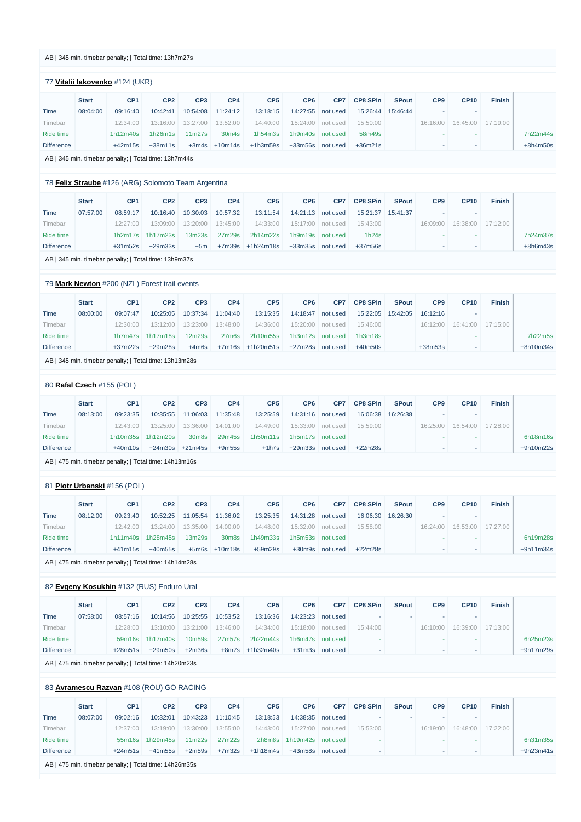#### AB | 345 min. timebar penalty; | Total time: 13h7m27s

## 77 **[Vitalii Iakovenko](https://www.redbullromaniacs.com/for-competitors/profile/?e=rbr2019&b=124)** #124 (UKR)

| <b>Start</b> | CP <sub>1</sub> | CP <sub>2</sub> | CP <sub>3</sub>    | CP4                | CP <sub>5</sub>   | CP <sub>6</sub> | CP <sub>7</sub> | <b>CP8 SPin</b> | <b>SPout</b> | CP <sub>9</sub>          | <b>CP10</b> | <b>Finish</b> |            |
|--------------|-----------------|-----------------|--------------------|--------------------|-------------------|-----------------|-----------------|-----------------|--------------|--------------------------|-------------|---------------|------------|
| 08:04:00     | 09:16:40        | 10:42:41        | 10:54:08           | 11:24:12           | 13:18:15          | 14:27:55        | not used        | 15:26:44        | 15:46:44     |                          |             |               |            |
|              | 12:34:00        | 13:16:00        | 13:27:00           | 13:52:00           | 14:40:00          | 15:24:00        |                 | 15:50:00        |              | 16:16:00                 | 16:45:00    | 17:19:00      |            |
|              | 1h12m40s        | 1h26m1s         | 11 <sub>m27s</sub> | 30 <sub>m</sub> 4s | 1h54m3s           | 1h9m40s         | not used        | 58m49s          |              | $\overline{\phantom{a}}$ |             |               | 7h22m44s   |
|              | $+42m15s$       | $+38m11s$       |                    |                    | +1h3m59s          | $+33m56s$       | not used        | $+36m21s$       |              |                          |             |               | $+8h4m50s$ |
|              |                 |                 |                    |                    | $+3m4s$ $+10m14s$ |                 |                 | not used        |              |                          |             |               |            |

AB | 345 min. timebar penalty; | Total time: 13h7m44s

## 78 **[Felix Straube](https://www.redbullromaniacs.com/for-competitors/profile/?e=rbr2019&b=126)** #126 (ARG) Solomoto Team Argentina

|                   | <b>Start</b> | CP <sub>1</sub> | CP <sub>2</sub>    | CP <sub>3</sub>                 | CP <sub>4</sub> | CP <sub>5</sub> | CP6       | CP7      | <b>CP8 SPin</b> | <b>SPout</b> | CP <sub>9</sub> | <b>CP10</b> | <b>Finish</b> |  |
|-------------------|--------------|-----------------|--------------------|---------------------------------|-----------------|-----------------|-----------|----------|-----------------|--------------|-----------------|-------------|---------------|--|
| Time              | 07:57:00     | 08:59:17        | 10:16:40           | 10:30:03                        | 10:57:32        | 13:11:54        | 14:21:13  | not used | 15:21:37        | 15:41:37     |                 |             |               |  |
| Fimebar           |              | 12:27:00        | 13:09:00           | 13:20:00                        | 13:45:00        | 14:33:00        | 15:17:00  | not used | 15:43:00        |              | 16:09:00        | 16:38:00    | 17:12:00      |  |
| Ride time         |              |                 | $1h2m17s$ 1h17m23s | 13 <sub>m</sub> 23 <sub>s</sub> | 27m29s          | 2h14m22s        | 1h9m19s   | not used | 1h24s           |              |                 |             |               |  |
| <b>Difference</b> |              | $+31m52s$       | $+29m33s$          | +5m                             | +7m39s          | +1h24m18s       | $+33m35s$ | not used | $+37m56s$       |              | . .             |             |               |  |

AB | 345 min. timebar penalty; | Total time: 13h9m37s

## 79 **[Mark Newton](https://www.redbullromaniacs.com/for-competitors/profile/?e=rbr2019&b=200)** #200 (NZL) Forest trail events

|                   | <b>Start</b> | CP <sub>1</sub> | CP <sub>2</sub>    | CP <sub>3</sub> | CP4               | CP <sub>5</sub>      | CP <sub>6</sub> | CP <sub>7</sub> | <b>CP8 SPin</b> | <b>SPout</b>      | CP <sub>9</sub> | CP <sub>10</sub>    | <b>Finish</b> |           |
|-------------------|--------------|-----------------|--------------------|-----------------|-------------------|----------------------|-----------------|-----------------|-----------------|-------------------|-----------------|---------------------|---------------|-----------|
| Time              | 08:00:00     | 09:07:47        | 10:25:05           | 10:37:34        | 11:04:40          | 13:15:35             | 14:18:47        | not used        |                 | 15:22:05 15:42:05 | 16:12:16        |                     |               |           |
| Timebar           |              | 12:30:00        | 13:12:00           | 13:23:00        | 13:48:00          | 14:36:00             | 15:20:00        | not used        | 15:46:00        |                   |                 | $16:12:00$ 16:41:00 | 17:15:00      |           |
| Ride time         |              |                 | $1h7m47s$ 1h17m18s | 12m29s          | 27 <sub>m6s</sub> | 2h10m55s             | 1h3m12s         | not used        | 1h3m18s         |                   |                 |                     |               | 7h22m5s   |
| <b>Difference</b> |              | $+37m22s$       | $+29m28s$          | +4m6s           |                   | $+7m16s$ $+1h20m51s$ | +27m28s         | not used        | +40m50s         |                   | $+38m53s$       |                     |               | +8h10m34s |

AB | 345 min. timebar penalty; | Total time: 13h13m28s

## 80 **[Rafal Czech](https://www.redbullromaniacs.com/for-competitors/profile/?e=rbr2019&b=155)** #155 (POL)

|                   | <b>Start</b> | CP <sub>1</sub> | CP <sub>2</sub> | CP <sub>3</sub> | CP4      | CP <sub>5</sub> | CP <sub>6</sub> | CP7      | <b>CP8 SPin</b> | <b>SPout</b> | CP <sub>9</sub>          | <b>CP10</b> | <b>Finish</b> |           |
|-------------------|--------------|-----------------|-----------------|-----------------|----------|-----------------|-----------------|----------|-----------------|--------------|--------------------------|-------------|---------------|-----------|
| Time              | 08:13:00     | 09:23:35        | 10:35:55        | 11:06:03        | 11:35:48 | 13:25:59        | 14:31:16        | not used | 16:06:38        | 16:26:38     |                          |             |               |           |
| Fimebar           |              | 12:43:00        | 13:25:00        | 13:36:00        | 14:01:00 | 14:49:00        | 15:33:00        | not used | 15:59:00        |              | 16:25:00                 | 16:54:00    | 17:28:00      |           |
| Ride time         |              | 1h10m35s        | 1h12m20s        | 30m8s           | 29m45s   | 1h50m11s        | 1h5m17s         | not used |                 |              |                          |             |               | 6h18m16s  |
| <b>Difference</b> |              | $+40m10s$       | $+24m30s$       | +21m45s         | $+9m55s$ | $+1h7s$         | $+29m33s$       | not used | $+22m28s$       |              | $\overline{\phantom{a}}$ |             |               | +9h10m22s |

AB | 475 min. timebar penalty; | Total time: 14h13m16s

|                   |              | 81 Piotr Urbanski #156 (POL) |                 |                    |          |                 |                 |          |                 |              |                          |             |               |             |
|-------------------|--------------|------------------------------|-----------------|--------------------|----------|-----------------|-----------------|----------|-----------------|--------------|--------------------------|-------------|---------------|-------------|
|                   | <b>Start</b> | CP <sub>1</sub>              | CP <sub>2</sub> | CP <sub>3</sub>    | CP4      | CP <sub>5</sub> | CP <sub>6</sub> | CP7      | <b>CP8 SPin</b> | <b>SPout</b> | CP <sub>9</sub>          | <b>CP10</b> | <b>Finish</b> |             |
| Time              | 08:12:00     | 09:23:40                     | 10:52:25        | 11:05:54           | 11:36:02 | 13:25:35        | 14:31:28        | not used | 16:06:30        | 16:26:30     | $\overline{\phantom{a}}$ |             |               |             |
| Timebar           |              | 12:42:00                     | 13:24:00        | 13:35:00           | 14:00:00 | 14:48:00        | 15:32:00        | not used | 15:58:00        |              | 16:24:00                 | 16:53:00    | 17:27:00      |             |
| Ride time         |              | 1h11m40s                     | 1h28m45s        | 13 <sub>m29s</sub> | 30m8s    | 1h49m33s        | 1h5m53s         | not used |                 |              | ۰                        |             |               | 6h19m28s    |
| <b>Difference</b> |              | $+41m15s$                    | $+40m55s$       | $+5m6s$            | +10m18s  | +59m29s         | $+30m9s$        | not used | $+22m28s$       |              | $\sim$                   |             |               | $+9h11m34s$ |

AB | 475 min. timebar penalty; | Total time: 14h14m28s

## 82 **[Evgeny Kosukhin](https://www.redbullromaniacs.com/for-competitors/profile/?e=rbr2019&b=132)** #132 (RUS) Enduro Ural

|      | <b>Start</b> | CP <sub>1</sub> | CP <sub>2</sub> | CP <sub>3</sub>              | CP4 | CP <sub>5</sub> | CP <sub>6</sub> | CP7      | <b>CP8 SPin</b> | <b>SPout</b> | CP <sub>9</sub> | <b>CP10</b> | <b>Finish</b> |
|------|--------------|-----------------|-----------------|------------------------------|-----|-----------------|-----------------|----------|-----------------|--------------|-----------------|-------------|---------------|
| Time | 07:58:00     | 08:57:16        |                 | 10:14:56  10:25:55  10:53:52 |     | 13:16:36        | 14:23:23        | not used |                 |              |                 |             |               |

| Timebar           | 12:28:00 | $13:10:00$ $13:21:00$ $13:46:00$ |          |               |                 | 14:34:00 15:18:00 not used | 15:44:00 |  | 16:10:00 16:39:00 17:13:00 |           |
|-------------------|----------|----------------------------------|----------|---------------|-----------------|----------------------------|----------|--|----------------------------|-----------|
| Ride time         |          | $59m16s$ 1h17m40s                |          | 10m59s 27m57s | 2h22m44s        | 1h6m47s not used           |          |  |                            | 6h25m23s  |
| <b>Difference</b> | +28m51s  | $+29m50s$                        | $+2m36s$ |               | +8m7s +1h32m40s | +31m3s not used            |          |  |                            | +9h17m29s |

AB | 475 min. timebar penalty; | Total time: 14h20m23s

## 83 **[Avramescu Razvan](https://www.redbullromaniacs.com/for-competitors/profile/?e=rbr2019&b=108)** #108 (ROU) GO RACING

|                   | <b>Start</b> | CP <sub>1</sub> | CP <sub>2</sub> | CP <sub>3</sub>    | CP <sub>4</sub> | CP <sub>5</sub> | CP <sub>6</sub> | CP7      | <b>CP8 SPin</b> | <b>SPout</b> | CP <sub>9</sub>          | <b>CP10</b> | <b>Finish</b> |             |
|-------------------|--------------|-----------------|-----------------|--------------------|-----------------|-----------------|-----------------|----------|-----------------|--------------|--------------------------|-------------|---------------|-------------|
| Time              | 08:07:00     | 09:02:16        | 10:32:01        | 10:43:23           | 11:10:45        | 13:18:53        | 14:38:35        | not used |                 |              | $\overline{\phantom{a}}$ |             |               |             |
| Timebar           |              | 12:37:00        | 13:19:00        | 13:30:00           | 13:55:00        | 14:43:00        | 15:27:00        | not used | 15:53:00        |              | 16:19:00                 | 16:48:00    | 17:22:00      |             |
| Ride time         |              |                 | 55m16s 1h29m45s | 11 <sub>m22s</sub> | 27m22s          | 2h8m8s          | 1h19m42s        | not used |                 |              |                          |             |               | 6h31m35s    |
| <b>Difference</b> |              | $+24m51s$       | +41m55s         | $+2m59s$           | $+7m32s$        | +1h18m4s        | +43m58s         | not used |                 |              | $\overline{\phantom{a}}$ |             |               | $+9h23m41s$ |

AB | 475 min. timebar penalty; | Total time: 14h26m35s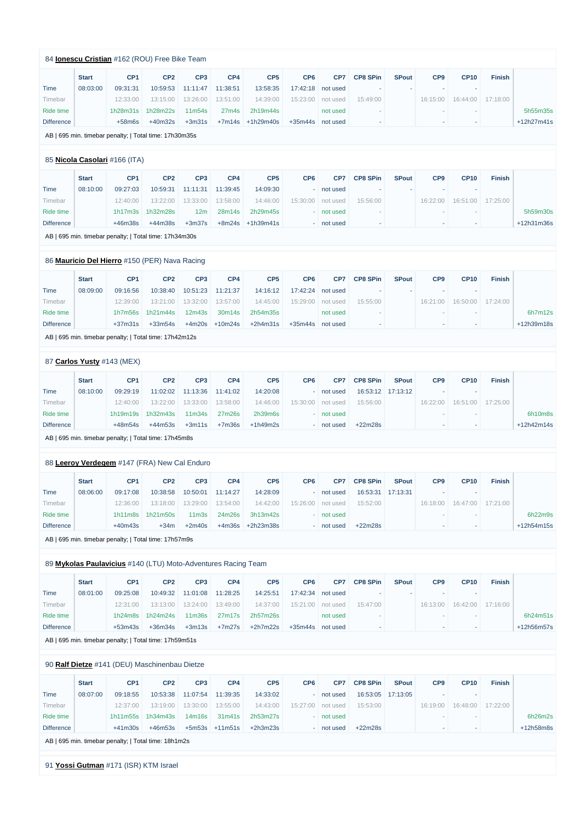|                      | <b>Start</b> | CP <sub>1</sub>               | CP <sub>2</sub>                                               | CP <sub>3</sub>    | CP4                | CP <sub>5</sub>       | CP <sub>6</sub> | CP7                      | <b>CP8 SPin</b> | <b>SPout</b> | CP9             | <b>CP10</b>              | <b>Finish</b> |            |
|----------------------|--------------|-------------------------------|---------------------------------------------------------------|--------------------|--------------------|-----------------------|-----------------|--------------------------|-----------------|--------------|-----------------|--------------------------|---------------|------------|
| Time                 | 08:03:00     | 09:31:31                      | 10:59:53                                                      | 11:11:47           | 11:38:51           | 13:58:35              | 17:42:18        | not used                 |                 |              |                 | ч.                       |               |            |
| Timebar              |              | 12:33:00                      | 13:15:00                                                      | 13:26:00           | 13:51:00           | 14:39:00              | 15:23:00        | not used                 | 15:49:00        |              | 16:15:00        | 16:44:00                 | 17:18:00      |            |
| <b>Ride time</b>     |              | 1h28m31s                      | 1h28m22s                                                      | 11m54s<br>$+3m31s$ | 27 <sub>m4s</sub>  | 2h19m44s              |                 | not used                 |                 |              |                 |                          |               | 5h55m35s   |
| <b>Difference</b>    |              | $+58m6s$                      | $+40m32s$                                                     |                    | $+7m14s$           | +1h29m40s             | $+35m44s$       | not used                 |                 |              | $\sim$          | $\overline{\phantom{a}}$ |               | +12h27m41s |
|                      |              |                               | AB   695 min. timebar penalty;   Total time: 17h30m35s        |                    |                    |                       |                 |                          |                 |              |                 |                          |               |            |
|                      |              | 85 Nicola Casolari #166 (ITA) |                                                               |                    |                    |                       |                 |                          |                 |              |                 |                          |               |            |
|                      | <b>Start</b> | CP <sub>1</sub>               | CP <sub>2</sub>                                               | CP <sub>3</sub>    | CP4                | CP <sub>5</sub>       | CP <sub>6</sub> | CP7                      | <b>CP8 SPin</b> | <b>SPout</b> | CP <sub>9</sub> | <b>CP10</b>              | <b>Finish</b> |            |
| Time                 | 08:10:00     | 09:27:03                      | 10:59:31                                                      | 11:11:31           | 11:39:45           | 14:09:30              |                 | not used                 |                 |              |                 |                          |               |            |
| Timebar              |              | 12:40:00                      | 13:22:00                                                      | 13:33:00           | 13:58:00           | 14:46:00              | 15:30:00        | not used                 | 15:56:00        |              | 16:22:00        | 16:51:00                 | 17:25:00      |            |
| <b>Ride time</b>     |              | 1h17m3s                       | 1h32m28s                                                      | 12m                | 28m14s             | 2h29m45s              |                 | not used                 |                 |              | ٠               |                          |               | 5h59m30s   |
| <b>Difference</b>    |              | $+46m38s$                     | $+44m38s$                                                     | $+3m37s$           | $+8m24s$           | $+1h39m41s$           |                 | - not used               |                 |              |                 |                          |               | +12h31m36s |
|                      |              |                               | AB   695 min. timebar penalty;   Total time: 17h34m30s        |                    |                    |                       |                 |                          |                 |              |                 |                          |               |            |
|                      |              |                               | 86 Mauricio Del Hierro #150 (PER) Nava Racing                 |                    |                    |                       |                 |                          |                 |              |                 |                          |               |            |
|                      | <b>Start</b> | CP <sub>1</sub>               | CP <sub>2</sub>                                               | CP <sub>3</sub>    | CP4                | CP <sub>5</sub>       | CP <sub>6</sub> | CP7                      | <b>CP8 SPin</b> | <b>SPout</b> | CP <sub>9</sub> | <b>CP10</b>              | <b>Finish</b> |            |
| Time                 | 08:09:00     | 09:16:56                      | 10:38:40                                                      | 10:51:23           | 11:21:37           | 14:16:12              | 17:42:24        | not used                 |                 |              |                 |                          |               |            |
| Timebar              |              | 12:39:00                      | 13:21:00                                                      | 13:32:00           | 13:57:00           | 14:45:00              | 15:29:00        | not used                 | 15:55:00        |              | 16:21:00        | 16:50:00                 | 17:24:00      |            |
| <b>Ride time</b>     |              | 1h7m56s                       | 1h21m44s                                                      | 12m43s             | 30m14s             | 2h54m35s              |                 | not used                 |                 |              |                 |                          |               | 6h7m12s    |
| <b>Difference</b>    |              | $+37m31s$                     | $+33m54s$                                                     | $+4m20s$           | $+10m24s$          | $+2h4m31s$            | $+35m44s$       | not used                 | ÷               |              | $\sim$          |                          |               | +12h39m18s |
|                      |              |                               | AB   695 min. timebar penalty;   Total time: 17h42m12s        |                    |                    |                       |                 |                          |                 |              |                 |                          |               |            |
|                      |              |                               |                                                               |                    |                    |                       |                 |                          |                 |              |                 |                          |               |            |
|                      |              | 87 Carlos Yusty #143 (MEX)    |                                                               |                    |                    |                       |                 |                          |                 |              |                 |                          |               |            |
|                      | <b>Start</b> | CP <sub>1</sub>               | CP <sub>2</sub>                                               | CP <sub>3</sub>    | CP4                | CP <sub>5</sub>       | CP <sub>6</sub> | CP7                      | <b>CP8 SPin</b> | <b>SPout</b> | CP <sub>9</sub> | <b>CP10</b>              | <b>Finish</b> |            |
| Time                 | 08:10:00     | 09:29:19                      | 11:02:02                                                      | 11:13:36           | 11:41:02           | 14:20:08              |                 | not used                 | 16:53:12        | 17:13:12     | $\sim$          |                          |               |            |
| Timebar<br>Ride time |              | 12:40:00                      | 13:22:00                                                      | 13:33:00           | 13:58:00           | 14:46:00              | 15:30:00        | not used                 | 15:56:00        |              | 16:22:00        | 16:51:00                 | 17:25:00      | 6h10m8s    |
| <b>Difference</b>    |              | 1h19m19s<br>$+48m54s$         | 1h32m43s<br>$+44m53s$                                         | 11m34s<br>$+3m11s$ | 27m26s<br>$+7m36s$ | 2h39m6s<br>$+1h49m2s$ |                 | - not used<br>- not used | $+22m28s$       |              |                 |                          |               | +12h42m14s |
|                      |              |                               | AB   695 min. timebar penalty;   Total time: 17h45m8s         |                    |                    |                       |                 |                          |                 |              |                 |                          |               |            |
|                      |              |                               |                                                               |                    |                    |                       |                 |                          |                 |              |                 |                          |               |            |
|                      |              |                               | 88 Leeroy Verdegem #147 (FRA) New Cal Enduro                  |                    |                    |                       |                 |                          |                 |              |                 |                          |               |            |
|                      | <b>Start</b> | CP <sub>1</sub>               | CP <sub>2</sub>                                               | CP <sub>3</sub>    | CP4                | CP <sub>5</sub>       | CP <sub>6</sub> | CP7                      | <b>CP8 SPin</b> | <b>SPout</b> | CP <sub>9</sub> | <b>CP10</b>              | <b>Finish</b> |            |
| Time                 | 08:06:00     | 09:17:08                      | 10:38:58                                                      | 10:50:01           | 11:14:27           | 14:28:09              |                 | not used                 | 16:53:31        | 17:13:31     |                 |                          |               |            |
| Timebar              |              | 12:36:00                      | 13:18:00                                                      | 13:29:00           | 13:54:00           | 14:42:00              | 15:26:00        | not used                 | 15:52:00        |              | 16:18:00        | 16:47:00                 | 17:21:00      |            |
| Ride time            |              | 1h11m8s                       | 1h21m50s                                                      | 11 <sub>m3s</sub>  | 24m26s             | 3h13m42s              |                 | - not used               |                 |              |                 |                          |               | 6h22m9s    |
| <b>Difference</b>    |              | $+40m43s$                     | $+34m$                                                        | $+2m40s$           | $+4m36s$           | +2h23m38s             |                 | - not used               | $+22m28s$       |              |                 |                          |               | +12h54m15s |
|                      |              |                               | AB   695 min. timebar penalty;   Total time: 17h57m9s         |                    |                    |                       |                 |                          |                 |              |                 |                          |               |            |
|                      |              |                               | 89 Mykolas Paulavicius #140 (LTU) Moto-Adventures Racing Team |                    |                    |                       |                 |                          |                 |              |                 |                          |               |            |
|                      | <b>Start</b> | CP <sub>1</sub>               | CP <sub>2</sub>                                               | CP <sub>3</sub>    | CP4                | CP <sub>5</sub>       | CP <sub>6</sub> | CP7                      | <b>CP8 SPin</b> | <b>SPout</b> | CP <sub>9</sub> | <b>CP10</b>              | <b>Finish</b> |            |
| Time                 | 08:01:00     | 09:25:08                      | 10:49:32                                                      | 11:01:08           | 11:28:25           | 14:25:51              | 17:42:34        | not used                 |                 |              |                 | $\overline{\phantom{a}}$ |               |            |
| Timebar              |              | 12:31:00                      | 13:13:00                                                      | 13:24:00           | 13:49:00           | 14:37:00              | 15:21:00        | not used                 | 15:47:00        |              | 16:13:00        | 16:42:00                 | 17:16:00      |            |
| Ride time            |              | 1h24m8s                       | 1h24m24s                                                      | 11m36s             | 27m17s             | 2h57m26s              |                 | not used                 |                 |              |                 |                          |               | 6h24m51s   |
| <b>Difference</b>    |              | $+53m43s$                     | $+36m34s$                                                     | $+3m13s$           | $+7m27s$           | $+2h7m22s$            | $+35m44s$       | not used                 |                 |              |                 | ٠                        |               | +12h56m57s |
|                      |              |                               | AB   695 min. timebar penalty;   Total time: 17h59m51s        |                    |                    |                       |                 |                          |                 |              |                 |                          |               |            |
|                      |              |                               | 90 Ralf Dietze #141 (DEU) Maschinenbau Dietze                 |                    |                    |                       |                 |                          |                 |              |                 |                          |               |            |
|                      | <b>Start</b> | CP <sub>1</sub>               | CP <sub>2</sub>                                               | CP <sub>3</sub>    | CP4                | CP <sub>5</sub>       | CP <sub>6</sub> | CP7                      | <b>CP8 SPin</b> | <b>SPout</b> | CP <sub>9</sub> | <b>CP10</b>              | <b>Finish</b> |            |
|                      |              |                               |                                                               |                    |                    |                       |                 |                          |                 |              |                 |                          |               |            |
| Time                 | 08:07:00     | 09:18:55                      | 10:53:38                                                      | 11:07:54           | 11:39:35           | 14:33:02              |                 | - not used               | 16:53:05        | 17:13:05     | ٠               |                          |               |            |
| Timebar              |              | 12:37:00                      | 13:19:00                                                      | 13:30:00           | 13:55:00           | 14:43:00              |                 | 15:27:00   not used      | 15:53:00        |              | 16:19:00        | 16:48:00                 | 17:22:00      |            |
| <b>Ride time</b>     |              | 1h11m55s                      | 1h34m43s                                                      | 14m16s             | 31m41s             | 2h53m27s              |                 | - not used               |                 |              | $\sim$          |                          |               | 6h26m2s    |

AB | 695 min. timebar penalty; | Total time: 18h1m2s

91 **[Yossi Gutman](https://www.redbullromaniacs.com/for-competitors/profile/?e=rbr2019&b=171)** #171 (ISR) KTM Israel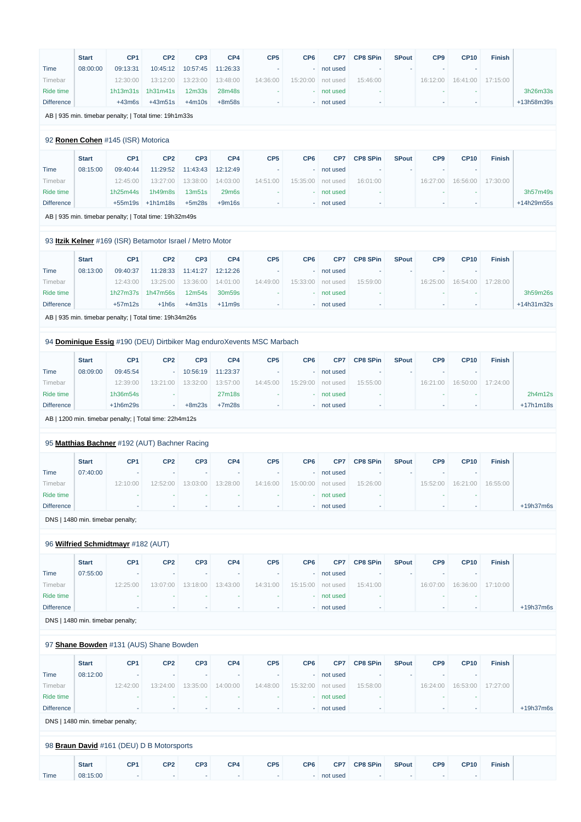|                   | <b>Start</b>                     | CP <sub>1</sub>                    | CP <sub>2</sub>                                           | CP <sub>3</sub> | CP4      | CP <sub>5</sub>                                                       | CP <sub>6</sub> | CP7        | <b>CP8 SPin</b> | <b>SPout</b> | CP <sub>9</sub> | <b>CP10</b> | <b>Finish</b> |            |
|-------------------|----------------------------------|------------------------------------|-----------------------------------------------------------|-----------------|----------|-----------------------------------------------------------------------|-----------------|------------|-----------------|--------------|-----------------|-------------|---------------|------------|
| Time              | 08:00:00                         | 09:13:31                           | 10:45:12                                                  | 10:57:45        | 11:26:33 |                                                                       |                 | not used   |                 |              |                 |             |               |            |
| Timebar           |                                  | 12:30:00                           | 13:12:00                                                  | 13:23:00        | 13:48:00 | 14:36:00                                                              | 15:20:00        | not used   | 15:46:00        |              | 16:12:00        | 16:41:00    | 17:15:00      |            |
| <b>Ride time</b>  |                                  | 1h13m31s                           | 1h31m41s                                                  | 12m33s          | 28m48s   |                                                                       |                 | not used   |                 |              |                 |             |               | 3h26m33s   |
| <b>Difference</b> |                                  | $+43m6s$                           | $+43m51s$                                                 | $+4m10s$        | $+8m58s$ |                                                                       |                 | - not used |                 |              |                 |             |               | +13h58m39s |
|                   |                                  |                                    | AB   935 min. timebar penalty;   Total time: 19h1m33s     |                 |          |                                                                       |                 |            |                 |              |                 |             |               |            |
|                   |                                  |                                    |                                                           |                 |          |                                                                       |                 |            |                 |              |                 |             |               |            |
|                   |                                  | 92 Ronen Cohen #145 (ISR) Motorica |                                                           |                 |          |                                                                       |                 |            |                 |              |                 |             |               |            |
|                   | <b>Start</b>                     | CP <sub>1</sub>                    | CP <sub>2</sub>                                           | CP <sub>3</sub> | CP4      | CP <sub>5</sub>                                                       | CP <sub>6</sub> | CP7        | <b>CP8 SPin</b> | <b>SPout</b> | CP <sub>9</sub> | <b>CP10</b> | <b>Finish</b> |            |
| <b>Time</b>       | 08:15:00                         | 09:40:44                           | 11:29:52                                                  | 11:43:43        | 12:12:49 |                                                                       |                 | not used   |                 |              |                 |             |               |            |
| Timebar           |                                  | 12:45:00                           | 13:27:00                                                  | 13:38:00        | 14:03:00 | 14:51:00                                                              | 15:35:00        | not used   | 16:01:00        |              | 16:27:00        | 16:56:00    | 17:30:00      |            |
| Ride time         |                                  | 1h25m44s                           | 1h49m8s                                                   | 13m51s          | 29m6s    |                                                                       |                 | not used   |                 |              |                 |             |               | 3h57m49s   |
| <b>Difference</b> |                                  |                                    | $+55m19s$ $+1h1m18s$                                      | $+5m28s$        | $+9m16s$ |                                                                       |                 | - not used |                 |              |                 |             |               | +14h29m55s |
|                   |                                  |                                    | AB   935 min. timebar penalty;   Total time: 19h32m49s    |                 |          |                                                                       |                 |            |                 |              |                 |             |               |            |
|                   |                                  |                                    | 93 Itzik Kelner #169 (ISR) Betamotor Israel / Metro Motor |                 |          |                                                                       |                 |            |                 |              |                 |             |               |            |
|                   |                                  |                                    |                                                           |                 |          |                                                                       |                 |            |                 |              |                 |             |               |            |
|                   | <b>Start</b>                     | CP <sub>1</sub>                    | CP <sub>2</sub>                                           | CP <sub>3</sub> | CP4      | CP <sub>5</sub>                                                       | CP <sub>6</sub> | CP7        | <b>CP8 SPin</b> | <b>SPout</b> | CP <sub>9</sub> | <b>CP10</b> | <b>Finish</b> |            |
| Time              | 08:13:00                         | 09:40:37                           | 11:28:33                                                  | 11:41:27        | 12:12:26 |                                                                       |                 | not used   |                 |              |                 |             |               |            |
| Timebar           |                                  | 12:43:00                           | 13:25:00                                                  | 13:36:00        | 14:01:00 | 14:49:00                                                              | 15:33:00        | not used   | 15:59:00        |              | 16:25:00        | 16:54:00    | 17:28:00      |            |
| Ride time         |                                  | 1h27m37s                           | 1h47m56s                                                  | 12m54s          | 30m59s   |                                                                       |                 | not used   |                 |              |                 |             |               | 3h59m26s   |
| <b>Difference</b> |                                  | $+57m12s$                          | $+1h6s$                                                   | $+4m31s$        | $+11m9s$ |                                                                       |                 | - not used |                 |              |                 |             |               | +14h31m32s |
|                   |                                  |                                    | AB   935 min. timebar penalty;   Total time: 19h34m26s    |                 |          |                                                                       |                 |            |                 |              |                 |             |               |            |
|                   |                                  |                                    |                                                           |                 |          |                                                                       |                 |            |                 |              |                 |             |               |            |
|                   |                                  |                                    |                                                           |                 |          | 94 Dominique Essig #190 (DEU) Dirtbiker Mag enduroXevents MSC Marbach |                 |            |                 |              |                 |             |               |            |
|                   | <b>Start</b>                     | CP <sub>1</sub>                    | CP <sub>2</sub>                                           | CP <sub>3</sub> | CP4      | CP <sub>5</sub>                                                       | CP <sub>6</sub> | CP7        | <b>CP8 SPin</b> | <b>SPout</b> | CP <sub>9</sub> | <b>CP10</b> | <b>Finish</b> |            |
| <b>Time</b>       | 08:09:00                         | 09:45:54                           |                                                           | 10:56:19        | 11:23:37 |                                                                       |                 | not used   |                 |              |                 |             |               |            |
| Timebar           |                                  | 12:39:00                           | 13:21:00                                                  | 13:32:00        | 13:57:00 | 14:45:00                                                              | 15:29:00        | not used   | 15:55:00        |              | 16:21:00        | 16:50:00    | 17:24:00      |            |
| Ride time         |                                  | 1h36m54s                           |                                                           |                 | 27m18s   |                                                                       |                 | not used   |                 |              |                 |             |               | 2h4m12s    |
| <b>Difference</b> |                                  | $+1h6m29s$                         | ٠                                                         | $+8m23s$        | $+7m28s$ |                                                                       |                 | - not used |                 |              |                 |             |               | +17h1m18s  |
|                   |                                  |                                    | AB   1200 min. timebar penalty;   Total time: 22h4m12s    |                 |          |                                                                       |                 |            |                 |              |                 |             |               |            |
|                   |                                  |                                    |                                                           |                 |          |                                                                       |                 |            |                 |              |                 |             |               |            |
|                   |                                  |                                    | 95 Matthias Bachner #192 (AUT) Bachner Racing             |                 |          |                                                                       |                 |            |                 |              |                 |             |               |            |
|                   | <b>Start</b>                     | CP <sub>1</sub>                    | CP <sub>2</sub>                                           | CP <sub>3</sub> | CP4      | CP <sub>5</sub>                                                       | CP <sub>6</sub> | CP7        | <b>CP8 SPin</b> | <b>SPout</b> | CP <sub>9</sub> | <b>CP10</b> | <b>Finish</b> |            |
| <b>Time</b>       | 07:40:00                         |                                    |                                                           |                 |          |                                                                       |                 | not used   |                 |              |                 |             |               |            |
| Timebar           |                                  | 12:10:00                           | 12:52:00                                                  | 13:03:00        | 13:28:00 | 14:16:00                                                              | 15:00:00        | not used   | 15:26:00        |              | 15:52:00        | 16:21:00    | 16:55:00      |            |
| Ride time         |                                  |                                    |                                                           |                 |          |                                                                       |                 | not used   |                 |              |                 |             |               |            |
| <b>Difference</b> |                                  |                                    |                                                           |                 |          |                                                                       |                 | - not used |                 |              |                 |             |               | +19h37m6s  |
|                   | DNS   1480 min. timebar penalty; |                                    |                                                           |                 |          |                                                                       |                 |            |                 |              |                 |             |               |            |
|                   |                                  | 96 Wilfried Schmidtmayr #182 (AUT) |                                                           |                 |          |                                                                       |                 |            |                 |              |                 |             |               |            |
|                   | <b>Start</b>                     | CP <sub>1</sub>                    | CP <sub>2</sub>                                           | CP <sub>3</sub> | CP4      | CP <sub>5</sub>                                                       | CP <sub>6</sub> | CP7        | <b>CP8 SPin</b> | <b>SPout</b> | CP <sub>9</sub> | <b>CP10</b> | <b>Finish</b> |            |
| <b>Time</b>       | 07:55:00                         |                                    |                                                           |                 |          |                                                                       |                 | not used   |                 |              |                 |             |               |            |
| Timebar           |                                  | 12:25:00                           | 13:07:00                                                  | 13:18:00        | 13:43:00 | 14:31:00                                                              | 15:15:00        | not used   | 15:41:00        |              | 16:07:00        | 16:36:00    | 17:10:00      |            |
| Ride time         |                                  |                                    |                                                           |                 |          |                                                                       |                 | not used   |                 |              |                 |             |               |            |
| <b>Difference</b> |                                  |                                    |                                                           |                 |          |                                                                       |                 | - not used |                 |              |                 |             |               | +19h37m6s  |
|                   |                                  |                                    |                                                           |                 |          |                                                                       |                 |            |                 |              |                 |             |               |            |

DNS | 1480 min. timebar penalty;

# 97 **[Shane Bowden](https://www.redbullromaniacs.com/for-competitors/profile/?e=rbr2019&b=131)** #131 (AUS) Shane Bowden

|                                           | <b>Start</b> | CP <sub>1</sub> | CP <sub>2</sub> | CP <sub>3</sub> | CP4                      | CP <sub>5</sub>          | CP <sub>6</sub>          | CP7      | <b>CP8 SPin</b>          | <b>SPout</b> | CP <sub>9</sub> | <b>CP10</b>              | <b>Finish</b> |             |
|-------------------------------------------|--------------|-----------------|-----------------|-----------------|--------------------------|--------------------------|--------------------------|----------|--------------------------|--------------|-----------------|--------------------------|---------------|-------------|
| Time                                      | 08:12:00     | ٠               |                 |                 |                          | $\overline{\phantom{a}}$ | $\overline{\phantom{a}}$ | not used |                          |              | ۰               |                          |               |             |
| Timebar                                   |              | 12:42:00        | 13:24:00        | 13:35:00        | 14:00:00                 | 14:48:00                 | 15:32:00                 | not used | 15:58:00                 |              | 16:24:00        | 16:53:00                 | 17:27:00      |             |
| Ride time                                 |              | ۰               | $\sim$          |                 |                          | $\sim$                   | ٠                        | not used |                          |              | ۰               |                          |               |             |
| <b>Difference</b>                         |              |                 | $\sim$          |                 | $\overline{\phantom{a}}$ | $\sim$                   | . н.                     | not used |                          |              | $\sim$          | $\overline{\phantom{a}}$ |               | $+19h37m6s$ |
| DNS   1480 min. timebar penalty;          |              |                 |                 |                 |                          |                          |                          |          |                          |              |                 |                          |               |             |
|                                           |              |                 |                 |                 |                          |                          |                          |          |                          |              |                 |                          |               |             |
| 98 Braun David #161 (DEU) D B Motorsports |              |                 |                 |                 |                          |                          |                          |          |                          |              |                 |                          |               |             |
|                                           |              |                 |                 |                 |                          |                          |                          |          |                          |              |                 |                          |               |             |
|                                           | <b>Start</b> | CP <sub>1</sub> | CP <sub>2</sub> | CP <sub>3</sub> | CP4                      | CP <sub>5</sub>          | CP <sub>6</sub>          | CP7      | <b>CP8 SPin</b>          | <b>SPout</b> | CP <sub>9</sub> | <b>CP10</b>              | <b>Finish</b> |             |
| Time                                      | 08:15:00     | ۰               | ۰               |                 |                          | ۰                        | ۰                        | not used | $\overline{\phantom{a}}$ |              | ۰               |                          |               |             |